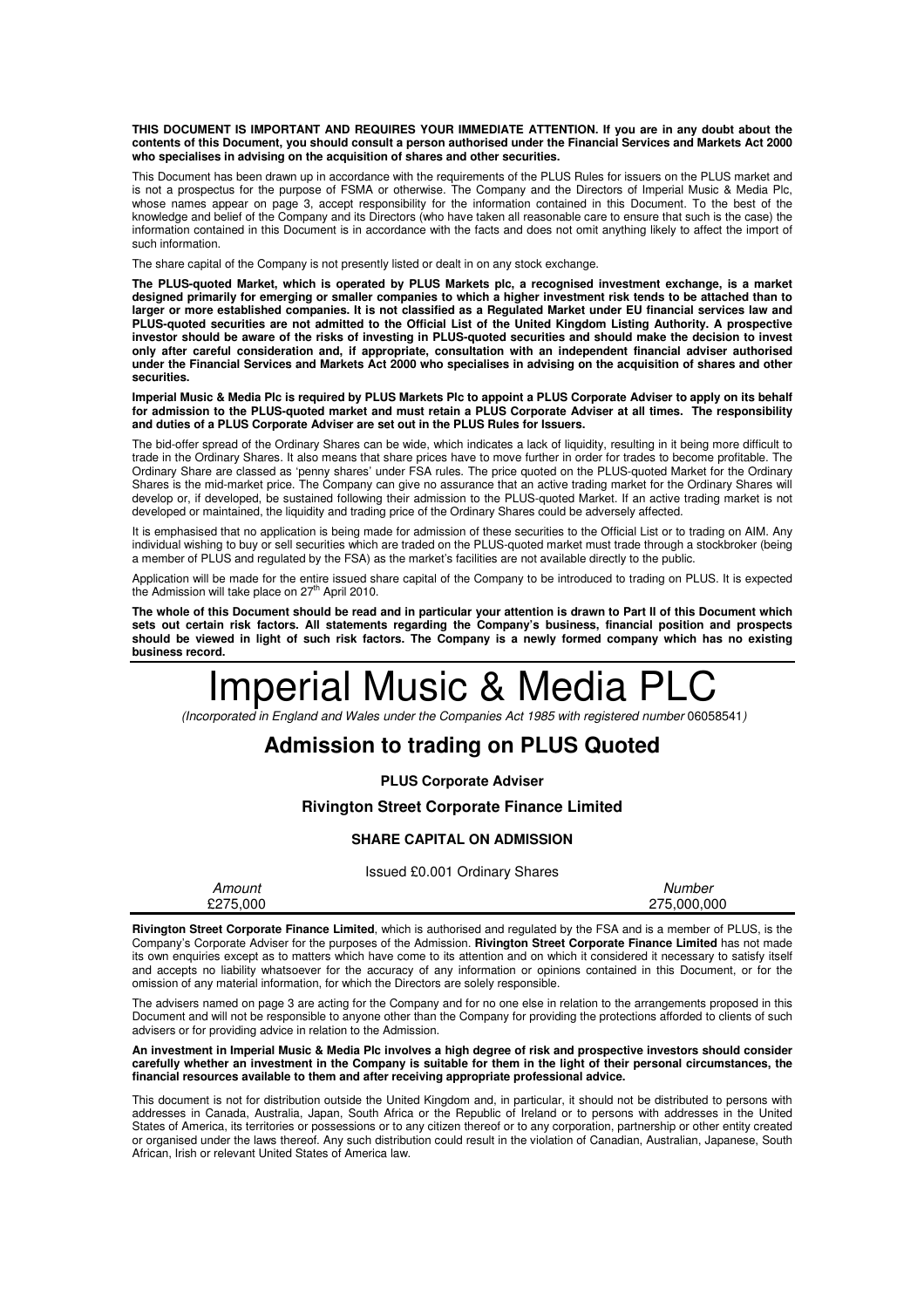**THIS DOCUMENT IS IMPORTANT AND REQUIRES YOUR IMMEDIATE ATTENTION. If you are in any doubt about the contents of this Document, you should consult a person authorised under the Financial Services and Markets Act 2000 who specialises in advising on the acquisition of shares and other securities.** 

This Document has been drawn up in accordance with the requirements of the PLUS Rules for issuers on the PLUS market and is not a prospectus for the purpose of FSMA or otherwise. The Company and the Directors of Imperial Music & Media Plc, whose names appear on page 3, accept responsibility for the information contained in this Document. To the best of the knowledge and belief of the Company and its Directors (who have taken all reasonable care to ensure that such is the case) the information contained in this Document is in accordance with the facts and does not omit anything likely to affect the import of such information.

The share capital of the Company is not presently listed or dealt in on any stock exchange.

**The PLUS-quoted Market, which is operated by PLUS Markets plc, a recognised investment exchange, is a market designed primarily for emerging or smaller companies to which a higher investment risk tends to be attached than to larger or more established companies. It is not classified as a Regulated Market under EU financial services law and PLUS-quoted securities are not admitted to the Official List of the United Kingdom Listing Authority. A prospective investor should be aware of the risks of investing in PLUS-quoted securities and should make the decision to invest only after careful consideration and, if appropriate, consultation with an independent financial adviser authorised under the Financial Services and Markets Act 2000 who specialises in advising on the acquisition of shares and other securities.** 

**Imperial Music & Media Plc is required by PLUS Markets Plc to appoint a PLUS Corporate Adviser to apply on its behalf for admission to the PLUS-quoted market and must retain a PLUS Corporate Adviser at all times. The responsibility and duties of a PLUS Corporate Adviser are set out in the PLUS Rules for Issuers.** 

The bid-offer spread of the Ordinary Shares can be wide, which indicates a lack of liquidity, resulting in it being more difficult to trade in the Ordinary Shares. It also means that share prices have to move further in order for trades to become profitable. The Ordinary Share are classed as 'penny shares' under FSA rules. The price quoted on the PLUS-quoted Market for the Ordinary Shares is the mid-market price. The Company can give no assurance that an active trading market for the Ordinary Shares will develop or, if developed, be sustained following their admission to the PLUS-quoted Market. If an active trading market is not developed or maintained, the liquidity and trading price of the Ordinary Shares could be adversely affected.

It is emphasised that no application is being made for admission of these securities to the Official List or to trading on AIM. Any individual wishing to buy or sell securities which are traded on the PLUS-quoted market must trade through a stockbroker (being a member of PLUS and regulated by the FSA) as the market's facilities are not available directly to the public.

Application will be made for the entire issued share capital of the Company to be introduced to trading on PLUS. It is expected<br>the Admission will take place on 27<sup>th</sup> April 2010.

**The whole of this Document should be read and in particular your attention is drawn to Part II of this Document which sets out certain risk factors. All statements regarding the Company's business, financial position and prospects should be viewed in light of such risk factors. The Company is a newly formed company which has no existing business record.**

# Imperial Music & Media PLC

(Incorporated in England and Wales under the Companies Act 1985 with registered number 06058541)

# **Admission to trading on PLUS Quoted**

**PLUS Corporate Adviser**

## **Rivington Street Corporate Finance Limited**

#### **SHARE CAPITAL ON ADMISSION**

Issued £0.001 Ordinary Shares

| Amount   | Number      |
|----------|-------------|
| £275,000 | 275.000.000 |

**Rivington Street Corporate Finance Limited**, which is authorised and regulated by the FSA and is a member of PLUS, is the Company's Corporate Adviser for the purposes of the Admission. **Rivington Street Corporate Finance Limited** has not made its own enquiries except as to matters which have come to its attention and on which it considered it necessary to satisfy itself and accepts no liability whatsoever for the accuracy of any information or opinions contained in this Document, or for the omission of any material information, for which the Directors are solely responsible.

The advisers named on page 3 are acting for the Company and for no one else in relation to the arrangements proposed in this Document and will not be responsible to anyone other than the Company for providing the protections afforded to clients of such advisers or for providing advice in relation to the Admission.

**An investment in Imperial Music & Media Plc involves a high degree of risk and prospective investors should consider carefully whether an investment in the Company is suitable for them in the light of their personal circumstances, the financial resources available to them and after receiving appropriate professional advice.** 

This document is not for distribution outside the United Kingdom and, in particular, it should not be distributed to persons with addresses in Canada, Australia, Japan, South Africa or the Republic of Ireland or to persons with addresses in the United States of America, its territories or possessions or to any citizen thereof or to any corporation, partnership or other entity created or organised under the laws thereof. Any such distribution could result in the violation of Canadian, Australian, Japanese, South African, Irish or relevant United States of America law.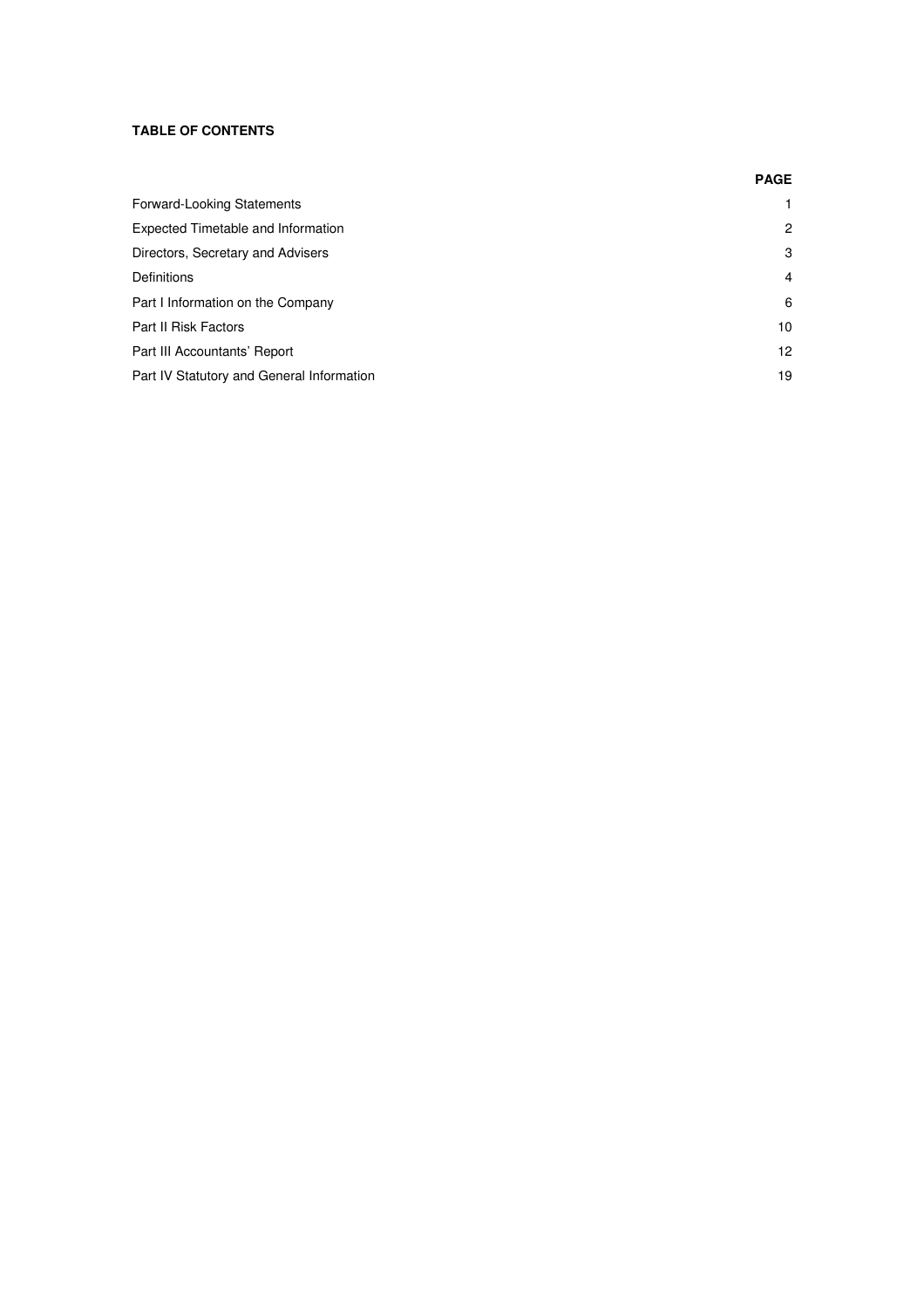## **TABLE OF CONTENTS**

|                                           | <b>PAGE</b>     |
|-------------------------------------------|-----------------|
| Forward-Looking Statements                |                 |
| Expected Timetable and Information        | 2               |
| Directors, Secretary and Advisers         | 3               |
| Definitions                               | 4               |
| Part I Information on the Company         | 6               |
| Part II Risk Factors                      | 10 <sup>°</sup> |
| Part III Accountants' Report              | 12 <sup>2</sup> |
| Part IV Statutory and General Information | 19              |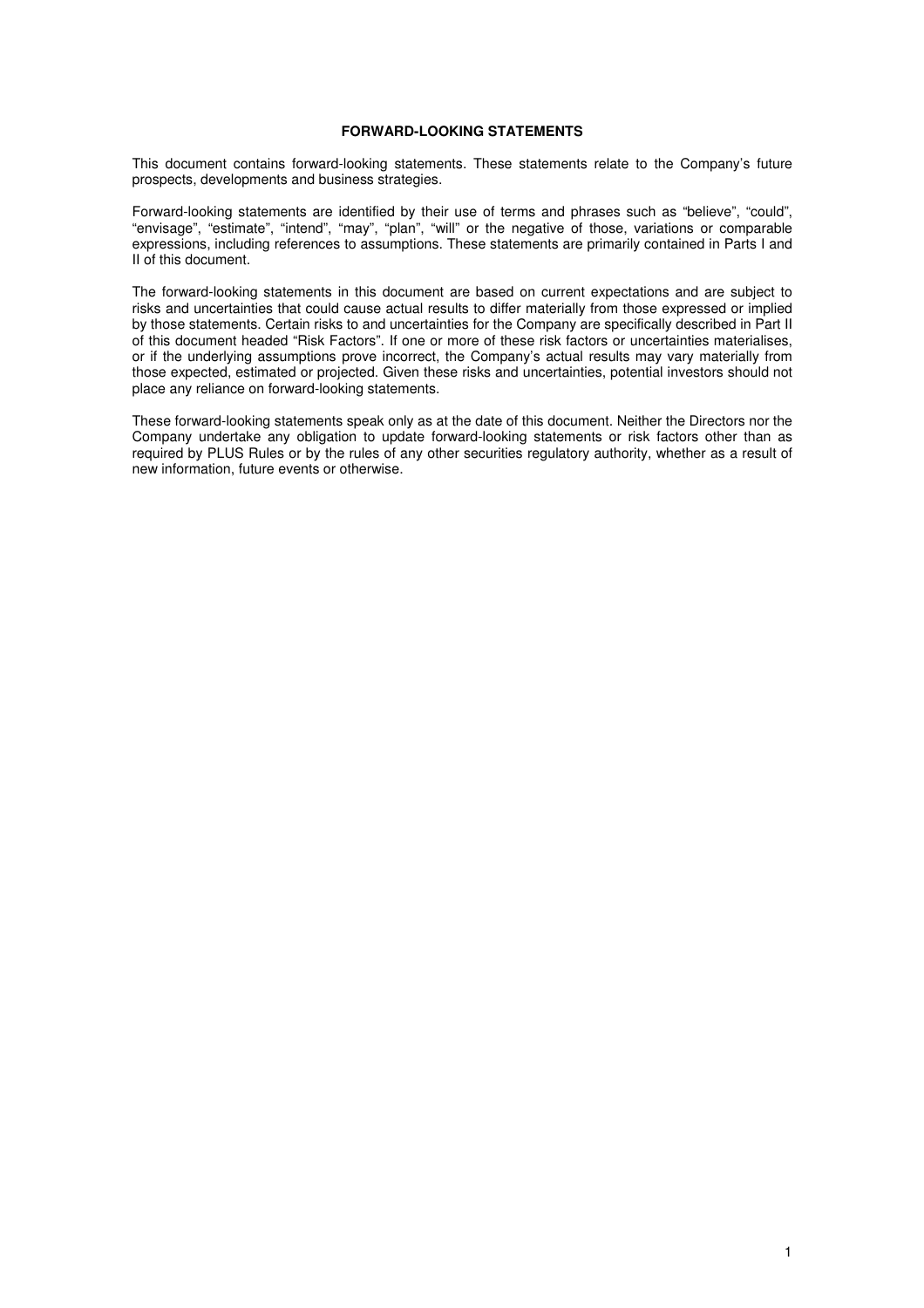## **FORWARD-LOOKING STATEMENTS**

This document contains forward-looking statements. These statements relate to the Company's future prospects, developments and business strategies.

Forward-looking statements are identified by their use of terms and phrases such as "believe", "could", "envisage", "estimate", "intend", "may", "plan", "will" or the negative of those, variations or comparable expressions, including references to assumptions. These statements are primarily contained in Parts I and II of this document.

The forward-looking statements in this document are based on current expectations and are subject to risks and uncertainties that could cause actual results to differ materially from those expressed or implied by those statements. Certain risks to and uncertainties for the Company are specifically described in Part II of this document headed "Risk Factors". If one or more of these risk factors or uncertainties materialises, or if the underlying assumptions prove incorrect, the Company's actual results may vary materially from those expected, estimated or projected. Given these risks and uncertainties, potential investors should not place any reliance on forward-looking statements.

These forward-looking statements speak only as at the date of this document. Neither the Directors nor the Company undertake any obligation to update forward-looking statements or risk factors other than as required by PLUS Rules or by the rules of any other securities regulatory authority, whether as a result of new information, future events or otherwise.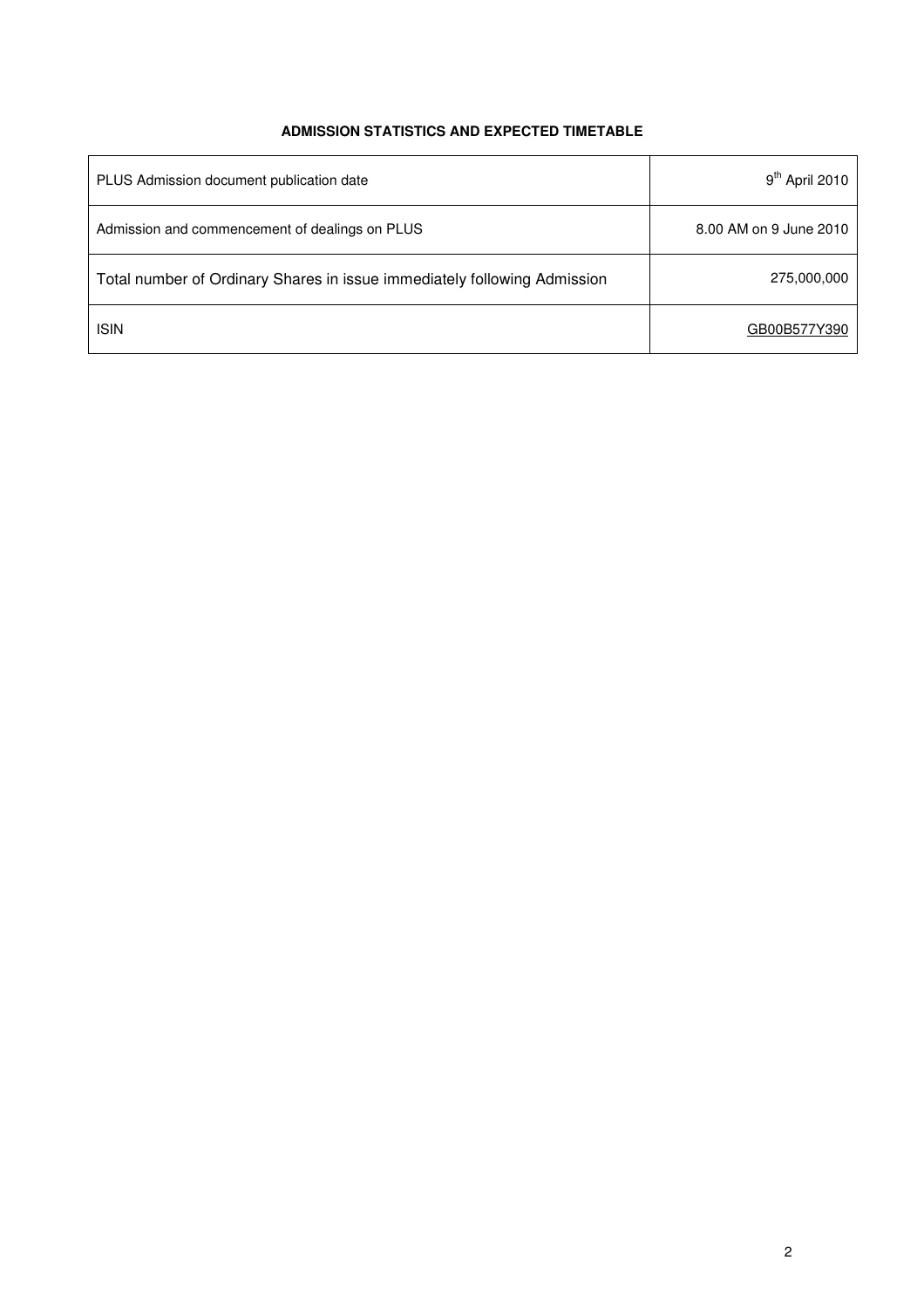## **ADMISSION STATISTICS AND EXPECTED TIMETABLE**

| PLUS Admission document publication date                                 | $9th$ April 2010       |
|--------------------------------------------------------------------------|------------------------|
| Admission and commencement of dealings on PLUS                           | 8.00 AM on 9 June 2010 |
| Total number of Ordinary Shares in issue immediately following Admission | 275,000,000            |
| <b>ISIN</b>                                                              | GB00B577Y390           |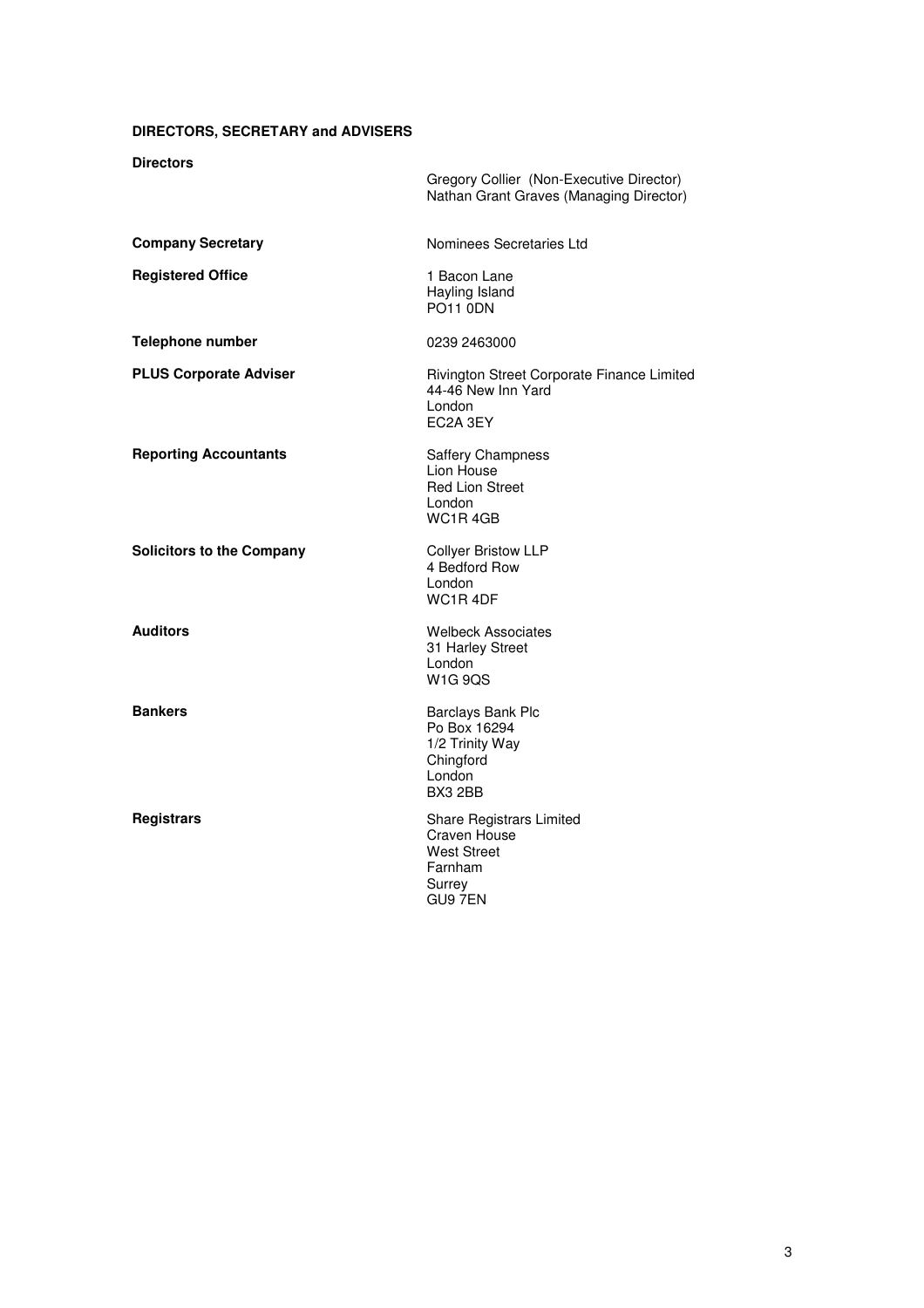## **DIRECTORS, SECRETARY and ADVISERS**

## **Directors**

| ט וטועט ווע                      | Gregory Collier (Non-Executive Director)<br>Nathan Grant Graves (Managing Director)                            |
|----------------------------------|----------------------------------------------------------------------------------------------------------------|
| <b>Company Secretary</b>         | Nominees Secretaries Ltd                                                                                       |
| <b>Registered Office</b>         | 1 Bacon Lane<br>Hayling Island<br><b>PO11 0DN</b>                                                              |
| Telephone number                 | 0239 2463000                                                                                                   |
| <b>PLUS Corporate Adviser</b>    | Rivington Street Corporate Finance Limited<br>44-46 New Inn Yard<br>London<br>EC2A 3EY                         |
| <b>Reporting Accountants</b>     | <b>Saffery Champness</b><br>Lion House<br><b>Red Lion Street</b><br>London<br>WC <sub>1</sub> R <sub>4GB</sub> |
| <b>Solicitors to the Company</b> | <b>Collyer Bristow LLP</b><br>4 Bedford Row<br>London<br>WC <sub>1</sub> R <sub>4</sub> DF                     |
| <b>Auditors</b>                  | <b>Welbeck Associates</b><br>31 Harley Street<br>London<br>W <sub>1</sub> G 9QS                                |
| <b>Bankers</b>                   | Barclays Bank Plc<br>Po Box 16294<br>1/2 Trinity Way<br>Chingford<br>London<br>BX3 2BB                         |
| <b>Registrars</b>                | <b>Share Registrars Limited</b><br>Craven House<br><b>West Street</b><br>Farnham<br>Surrey<br>GU9 7EN          |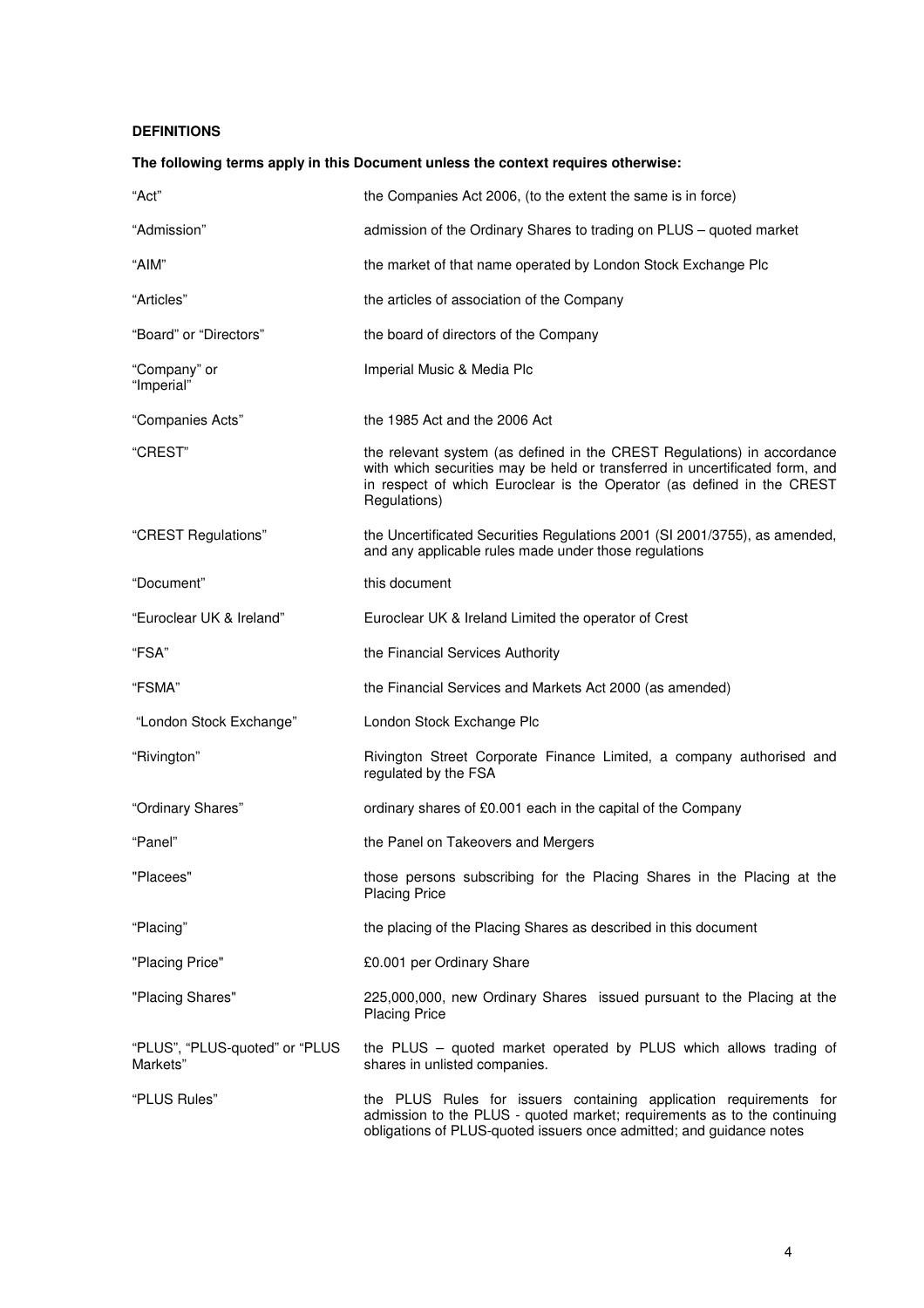## **DEFINITIONS**

# "Act" the Companies Act 2006, (to the extent the same is in force) "Admission" admission of the Ordinary Shares to trading on PLUS – quoted market "AIM" the market of that name operated by London Stock Exchange Plc "Articles" the articles of association of the Company "Board" or "Directors" the board of directors of the Company "Company" or "Imperial" Imperial Music & Media Plc "Companies Acts" the 1985 Act and the 2006 Act "CREST" the relevant system (as defined in the CREST Regulations) in accordance with which securities may be held or transferred in uncertificated form, and in respect of which Euroclear is the Operator (as defined in the CREST Regulations) "CREST Regulations" the Uncertificated Securities Regulations 2001 (SI 2001/3755), as amended, and any applicable rules made under those regulations "Document" this document "Euroclear UK & Ireland" Euroclear UK & Ireland Limited the operator of Crest "FSA" the Financial Services Authority "FSMA" the Financial Services and Markets Act 2000 (as amended) "London Stock Exchange" London Stock Exchange Plc "Rivington" Rivington Street Corporate Finance Limited, a company authorised and regulated by the FSA "Ordinary Shares" ordinary shares of £0.001 each in the capital of the Company "Panel" the Panel on Takeovers and Mergers "Placees" those persons subscribing for the Placing Shares in the Placing at the Placing Price "Placing" the placing of the Placing Shares as described in this document "Placing Price" £0.001 per Ordinary Share "Placing Shares" 225,000,000, new Ordinary Shares issued pursuant to the Placing at the Placing Price "PLUS", "PLUS-quoted" or "PLUS Markets" the PLUS – quoted market operated by PLUS which allows trading of shares in unlisted companies. "PLUS Rules" the PLUS Rules for issuers containing application requirements for admission to the PLUS - quoted market; requirements as to the continuing obligations of PLUS-quoted issuers once admitted; and guidance notes

**The following terms apply in this Document unless the context requires otherwise:**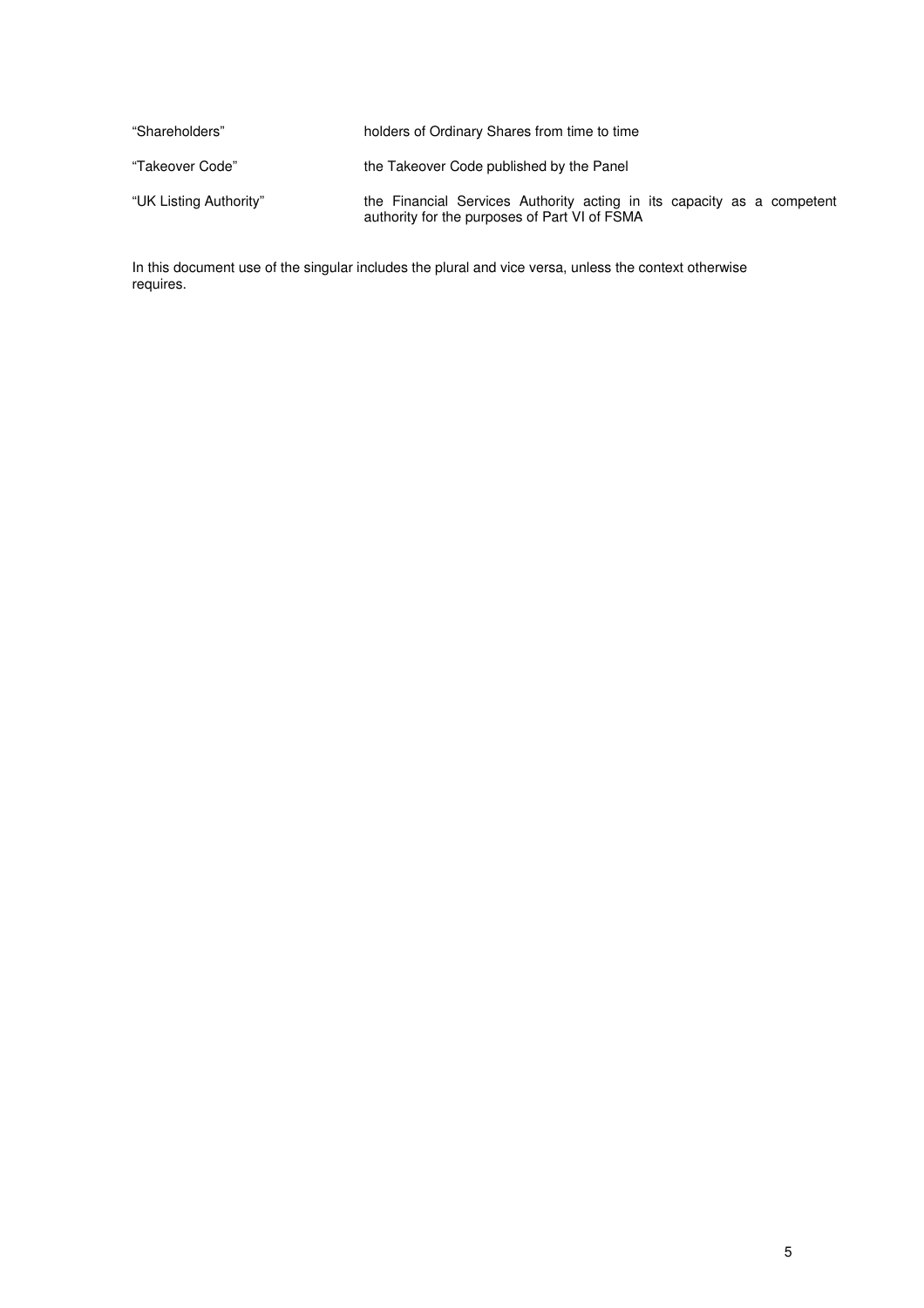| "Shareholders"         | holders of Ordinary Shares from time to time                                                                            |
|------------------------|-------------------------------------------------------------------------------------------------------------------------|
| "Takeover Code"        | the Takeover Code published by the Panel                                                                                |
| "UK Listing Authority" | the Financial Services Authority acting in its capacity as a competent<br>authority for the purposes of Part VI of FSMA |

In this document use of the singular includes the plural and vice versa, unless the context otherwise requires.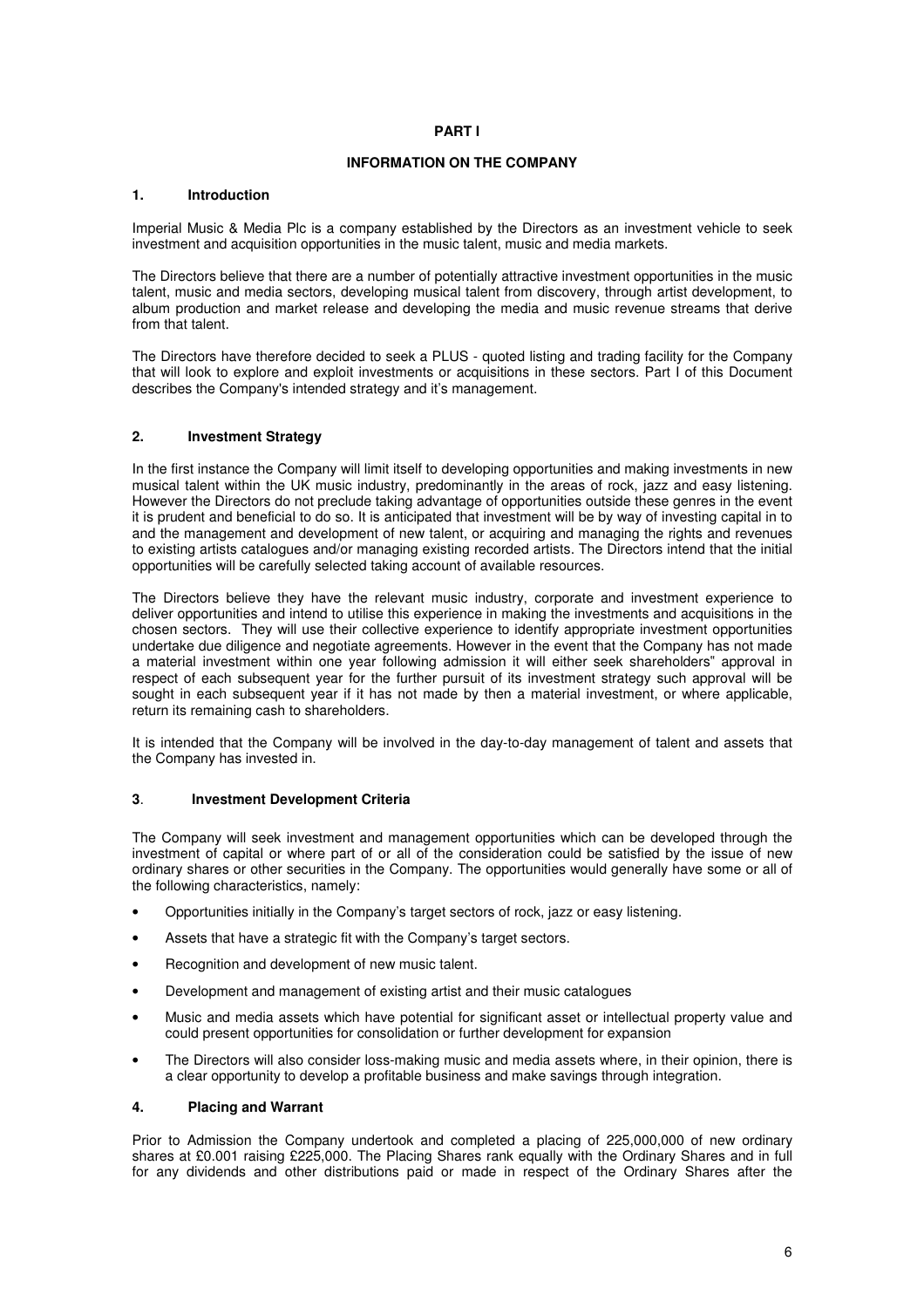## **INFORMATION ON THE COMPANY**

## **1. Introduction**

Imperial Music & Media Plc is a company established by the Directors as an investment vehicle to seek investment and acquisition opportunities in the music talent, music and media markets.

The Directors believe that there are a number of potentially attractive investment opportunities in the music talent, music and media sectors, developing musical talent from discovery, through artist development, to album production and market release and developing the media and music revenue streams that derive from that talent.

The Directors have therefore decided to seek a PLUS - quoted listing and trading facility for the Company that will look to explore and exploit investments or acquisitions in these sectors. Part I of this Document describes the Company's intended strategy and it's management.

## **2. Investment Strategy**

In the first instance the Company will limit itself to developing opportunities and making investments in new musical talent within the UK music industry, predominantly in the areas of rock, jazz and easy listening. However the Directors do not preclude taking advantage of opportunities outside these genres in the event it is prudent and beneficial to do so. It is anticipated that investment will be by way of investing capital in to and the management and development of new talent, or acquiring and managing the rights and revenues to existing artists catalogues and/or managing existing recorded artists. The Directors intend that the initial opportunities will be carefully selected taking account of available resources.

The Directors believe they have the relevant music industry, corporate and investment experience to deliver opportunities and intend to utilise this experience in making the investments and acquisitions in the chosen sectors. They will use their collective experience to identify appropriate investment opportunities undertake due diligence and negotiate agreements. However in the event that the Company has not made a material investment within one year following admission it will either seek shareholders" approval in respect of each subsequent year for the further pursuit of its investment strategy such approval will be sought in each subsequent year if it has not made by then a material investment, or where applicable, return its remaining cash to shareholders.

It is intended that the Company will be involved in the day-to-day management of talent and assets that the Company has invested in.

## **3**. **Investment Development Criteria**

The Company will seek investment and management opportunities which can be developed through the investment of capital or where part of or all of the consideration could be satisfied by the issue of new ordinary shares or other securities in the Company. The opportunities would generally have some or all of the following characteristics, namely:

- Opportunities initially in the Company's target sectors of rock, jazz or easy listening.
- Assets that have a strategic fit with the Company's target sectors.
- Recognition and development of new music talent.
- Development and management of existing artist and their music catalogues
- Music and media assets which have potential for significant asset or intellectual property value and could present opportunities for consolidation or further development for expansion
- The Directors will also consider loss-making music and media assets where, in their opinion, there is a clear opportunity to develop a profitable business and make savings through integration.

## **4. Placing and Warrant**

Prior to Admission the Company undertook and completed a placing of 225,000,000 of new ordinary shares at £0.001 raising £225,000. The Placing Shares rank equally with the Ordinary Shares and in full for any dividends and other distributions paid or made in respect of the Ordinary Shares after the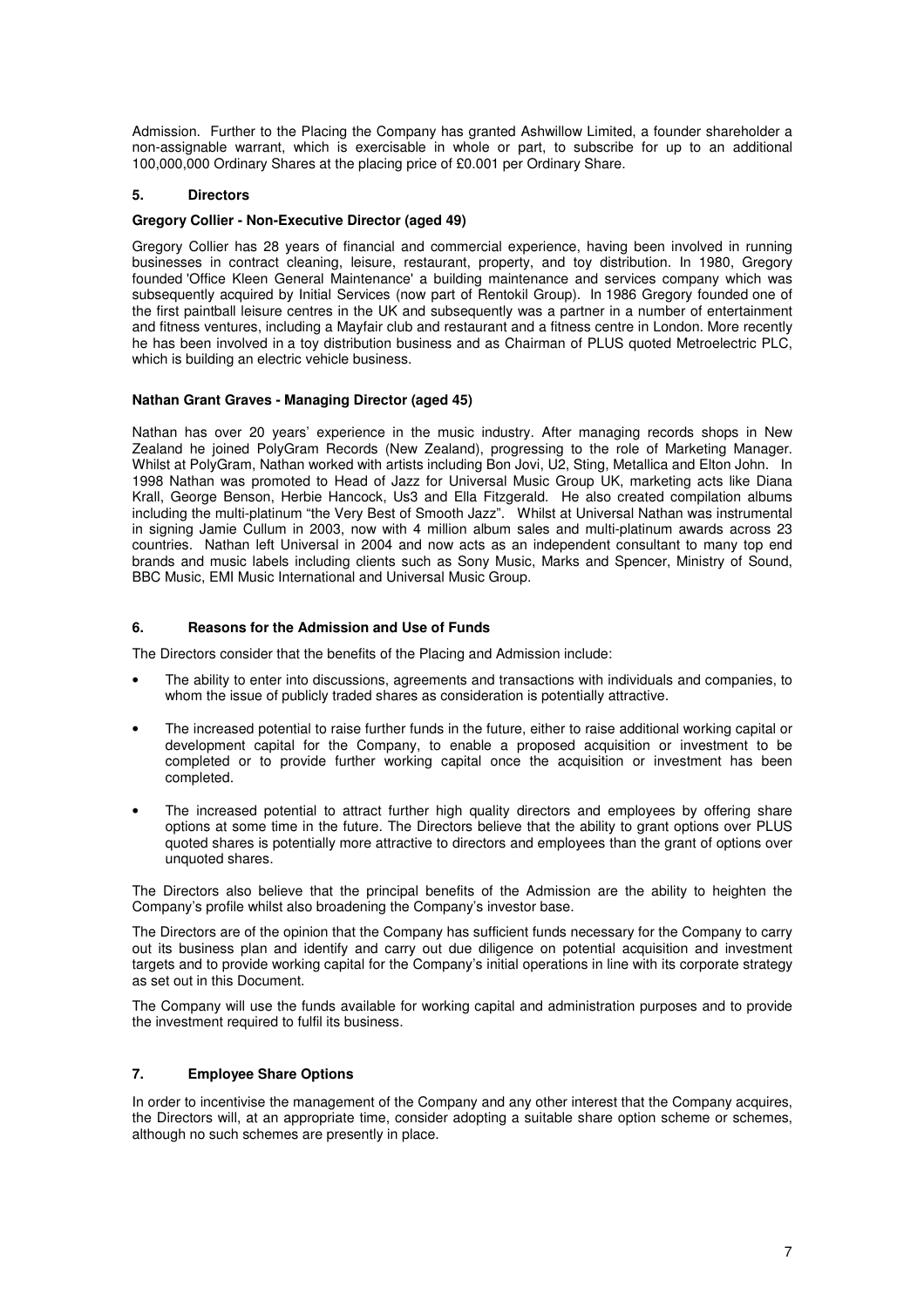Admission. Further to the Placing the Company has granted Ashwillow Limited, a founder shareholder a non-assignable warrant, which is exercisable in whole or part, to subscribe for up to an additional 100,000,000 Ordinary Shares at the placing price of £0.001 per Ordinary Share.

## **5. Directors**

## **Gregory Collier - Non-Executive Director (aged 49)**

Gregory Collier has 28 years of financial and commercial experience, having been involved in running businesses in contract cleaning, leisure, restaurant, property, and toy distribution. In 1980, Gregory founded 'Office Kleen General Maintenance' a building maintenance and services company which was subsequently acquired by Initial Services (now part of Rentokil Group). In 1986 Gregory founded one of the first paintball leisure centres in the UK and subsequently was a partner in a number of entertainment and fitness ventures, including a Mayfair club and restaurant and a fitness centre in London. More recently he has been involved in a toy distribution business and as Chairman of PLUS quoted Metroelectric PLC, which is building an electric vehicle business.

## **Nathan Grant Graves - Managing Director (aged 45)**

Nathan has over 20 years' experience in the music industry. After managing records shops in New Zealand he joined PolyGram Records (New Zealand), progressing to the role of Marketing Manager. Whilst at PolyGram, Nathan worked with artists including Bon Jovi, U2, Sting, Metallica and Elton John. In 1998 Nathan was promoted to Head of Jazz for Universal Music Group UK, marketing acts like Diana Krall, George Benson, Herbie Hancock, Us3 and Ella Fitzgerald. He also created compilation albums including the multi-platinum "the Very Best of Smooth Jazz". Whilst at Universal Nathan was instrumental in signing Jamie Cullum in 2003, now with 4 million album sales and multi-platinum awards across 23 countries. Nathan left Universal in 2004 and now acts as an independent consultant to many top end brands and music labels including clients such as Sony Music, Marks and Spencer, Ministry of Sound, BBC Music, EMI Music International and Universal Music Group.

## **6. Reasons for the Admission and Use of Funds**

The Directors consider that the benefits of the Placing and Admission include:

- The ability to enter into discussions, agreements and transactions with individuals and companies, to whom the issue of publicly traded shares as consideration is potentially attractive.
- The increased potential to raise further funds in the future, either to raise additional working capital or development capital for the Company, to enable a proposed acquisition or investment to be completed or to provide further working capital once the acquisition or investment has been completed.
- The increased potential to attract further high quality directors and employees by offering share options at some time in the future. The Directors believe that the ability to grant options over PLUS quoted shares is potentially more attractive to directors and employees than the grant of options over unquoted shares.

The Directors also believe that the principal benefits of the Admission are the ability to heighten the Company's profile whilst also broadening the Company's investor base.

The Directors are of the opinion that the Company has sufficient funds necessary for the Company to carry out its business plan and identify and carry out due diligence on potential acquisition and investment targets and to provide working capital for the Company's initial operations in line with its corporate strategy as set out in this Document.

The Company will use the funds available for working capital and administration purposes and to provide the investment required to fulfil its business.

## **7. Employee Share Options**

In order to incentivise the management of the Company and any other interest that the Company acquires, the Directors will, at an appropriate time, consider adopting a suitable share option scheme or schemes, although no such schemes are presently in place.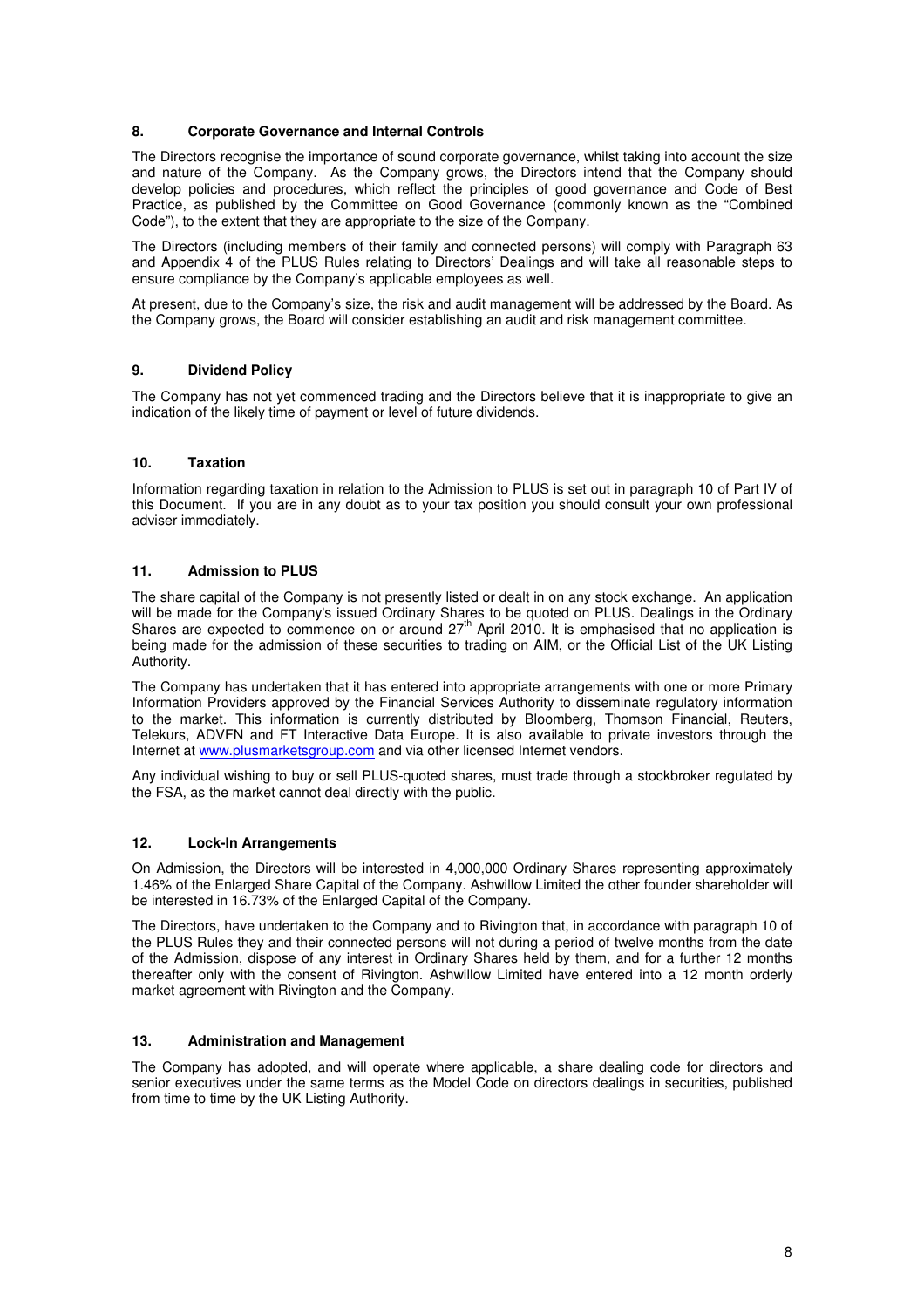## **8. Corporate Governance and Internal Controls**

The Directors recognise the importance of sound corporate governance, whilst taking into account the size and nature of the Company. As the Company grows, the Directors intend that the Company should develop policies and procedures, which reflect the principles of good governance and Code of Best Practice, as published by the Committee on Good Governance (commonly known as the "Combined Code"), to the extent that they are appropriate to the size of the Company.

The Directors (including members of their family and connected persons) will comply with Paragraph 63 and Appendix 4 of the PLUS Rules relating to Directors' Dealings and will take all reasonable steps to ensure compliance by the Company's applicable employees as well.

At present, due to the Company's size, the risk and audit management will be addressed by the Board. As the Company grows, the Board will consider establishing an audit and risk management committee.

## **9. Dividend Policy**

The Company has not yet commenced trading and the Directors believe that it is inappropriate to give an indication of the likely time of payment or level of future dividends.

## **10. Taxation**

Information regarding taxation in relation to the Admission to PLUS is set out in paragraph 10 of Part IV of this Document. If you are in any doubt as to your tax position you should consult your own professional adviser immediately.

## **11. Admission to PLUS**

The share capital of the Company is not presently listed or dealt in on any stock exchange. An application will be made for the Company's issued Ordinary Shares to be quoted on PLUS. Dealings in the Ordinary Shares are expected to commence on or around  $27<sup>th</sup>$  April 2010. It is emphasised that no application is being made for the admission of these securities to trading on AIM, or the Official List of the UK Listing Authority.

The Company has undertaken that it has entered into appropriate arrangements with one or more Primary Information Providers approved by the Financial Services Authority to disseminate regulatory information to the market. This information is currently distributed by Bloomberg, Thomson Financial, Reuters, Telekurs, ADVFN and FT Interactive Data Europe. It is also available to private investors through the Internet at www.plusmarketsgroup.com and via other licensed Internet vendors.

Any individual wishing to buy or sell PLUS-quoted shares, must trade through a stockbroker regulated by the FSA, as the market cannot deal directly with the public.

## **12. Lock-In Arrangements**

On Admission, the Directors will be interested in 4,000,000 Ordinary Shares representing approximately 1.46% of the Enlarged Share Capital of the Company. Ashwillow Limited the other founder shareholder will be interested in 16.73% of the Enlarged Capital of the Company.

The Directors, have undertaken to the Company and to Rivington that, in accordance with paragraph 10 of the PLUS Rules they and their connected persons will not during a period of twelve months from the date of the Admission, dispose of any interest in Ordinary Shares held by them, and for a further 12 months thereafter only with the consent of Rivington. Ashwillow Limited have entered into a 12 month orderly market agreement with Rivington and the Company.

## **13. Administration and Management**

The Company has adopted, and will operate where applicable, a share dealing code for directors and senior executives under the same terms as the Model Code on directors dealings in securities, published from time to time by the UK Listing Authority.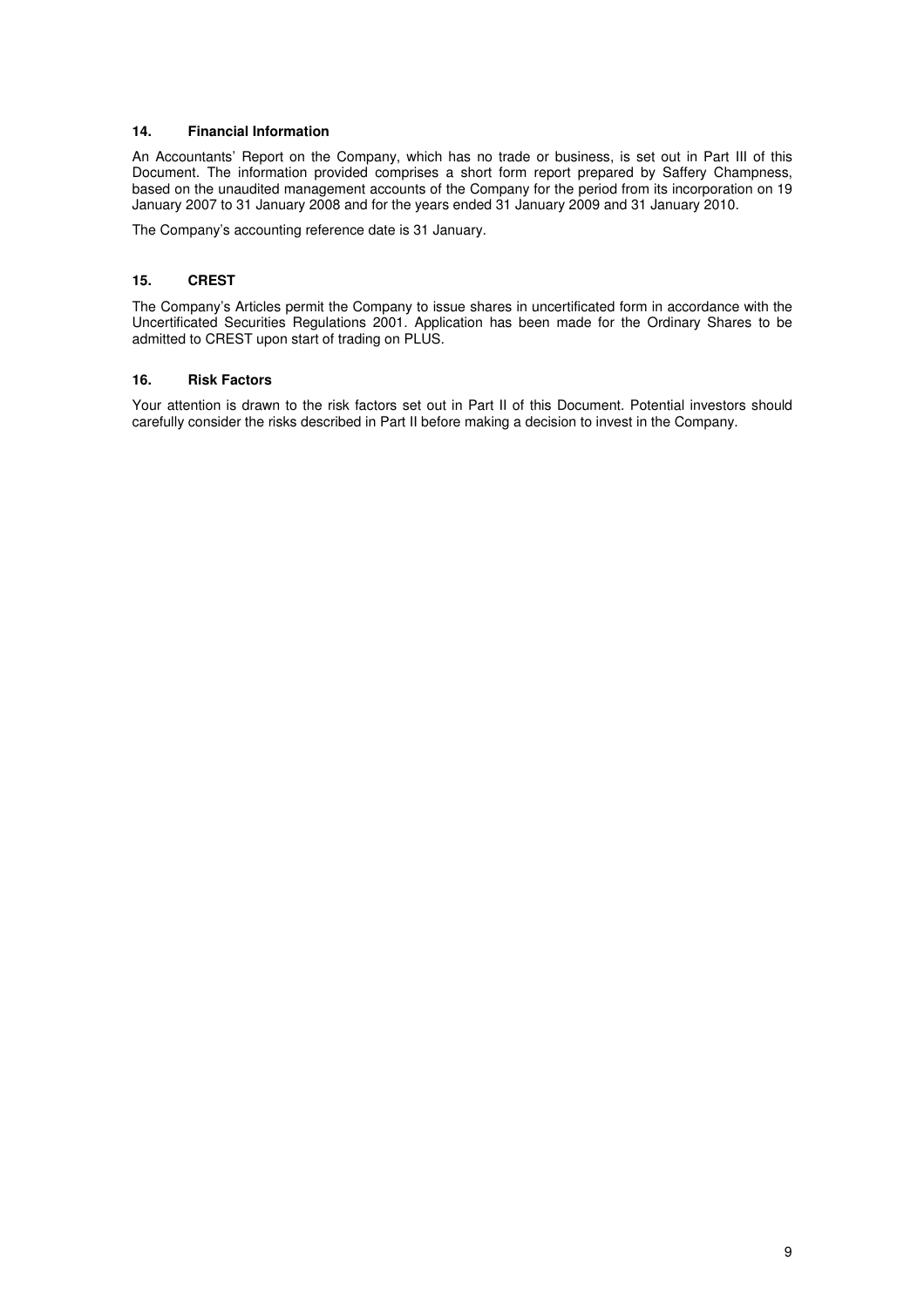## **14. Financial Information**

An Accountants' Report on the Company, which has no trade or business, is set out in Part III of this Document. The information provided comprises a short form report prepared by Saffery Champness, based on the unaudited management accounts of the Company for the period from its incorporation on 19 January 2007 to 31 January 2008 and for the years ended 31 January 2009 and 31 January 2010.

The Company's accounting reference date is 31 January.

## **15. CREST**

The Company's Articles permit the Company to issue shares in uncertificated form in accordance with the Uncertificated Securities Regulations 2001. Application has been made for the Ordinary Shares to be admitted to CREST upon start of trading on PLUS.

## **16. Risk Factors**

Your attention is drawn to the risk factors set out in Part II of this Document. Potential investors should carefully consider the risks described in Part II before making a decision to invest in the Company.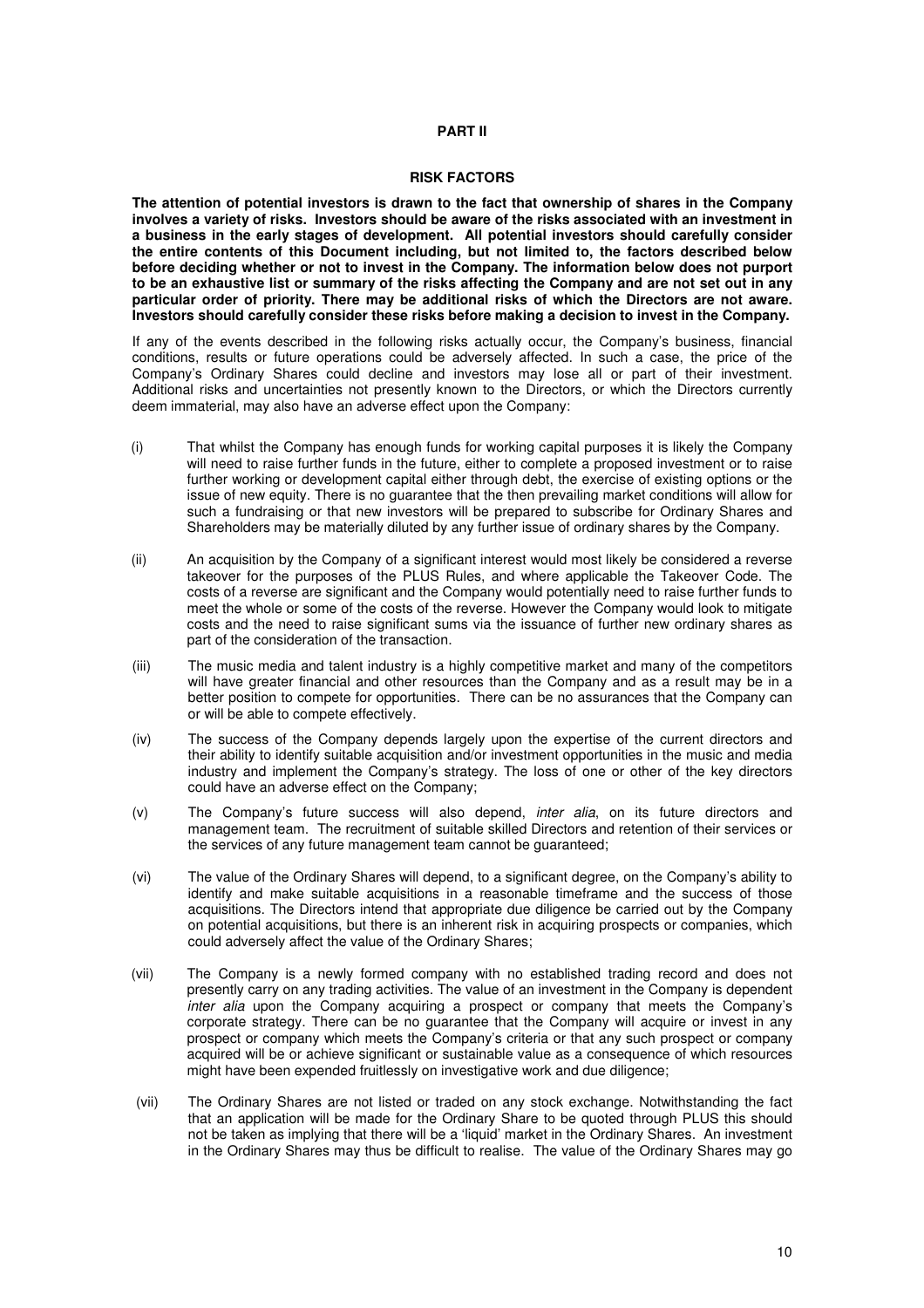## **PART II**

#### **RISK FACTORS**

**The attention of potential investors is drawn to the fact that ownership of shares in the Company involves a variety of risks. Investors should be aware of the risks associated with an investment in a business in the early stages of development. All potential investors should carefully consider the entire contents of this Document including, but not limited to, the factors described below before deciding whether or not to invest in the Company. The information below does not purport to be an exhaustive list or summary of the risks affecting the Company and are not set out in any particular order of priority. There may be additional risks of which the Directors are not aware. Investors should carefully consider these risks before making a decision to invest in the Company.** 

If any of the events described in the following risks actually occur, the Company's business, financial conditions, results or future operations could be adversely affected. In such a case, the price of the Company's Ordinary Shares could decline and investors may lose all or part of their investment. Additional risks and uncertainties not presently known to the Directors, or which the Directors currently deem immaterial, may also have an adverse effect upon the Company:

- (i) That whilst the Company has enough funds for working capital purposes it is likely the Company will need to raise further funds in the future, either to complete a proposed investment or to raise further working or development capital either through debt, the exercise of existing options or the issue of new equity. There is no guarantee that the then prevailing market conditions will allow for such a fundraising or that new investors will be prepared to subscribe for Ordinary Shares and Shareholders may be materially diluted by any further issue of ordinary shares by the Company.
- (ii) An acquisition by the Company of a significant interest would most likely be considered a reverse takeover for the purposes of the PLUS Rules, and where applicable the Takeover Code. The costs of a reverse are significant and the Company would potentially need to raise further funds to meet the whole or some of the costs of the reverse. However the Company would look to mitigate costs and the need to raise significant sums via the issuance of further new ordinary shares as part of the consideration of the transaction.
- (iii) The music media and talent industry is a highly competitive market and many of the competitors will have greater financial and other resources than the Company and as a result may be in a better position to compete for opportunities. There can be no assurances that the Company can or will be able to compete effectively.
- (iv) The success of the Company depends largely upon the expertise of the current directors and their ability to identify suitable acquisition and/or investment opportunities in the music and media industry and implement the Company's strategy. The loss of one or other of the key directors could have an adverse effect on the Company;
- (v) The Company's future success will also depend, inter alia, on its future directors and management team. The recruitment of suitable skilled Directors and retention of their services or the services of any future management team cannot be guaranteed;
- (vi) The value of the Ordinary Shares will depend, to a significant degree, on the Company's ability to identify and make suitable acquisitions in a reasonable timeframe and the success of those acquisitions. The Directors intend that appropriate due diligence be carried out by the Company on potential acquisitions, but there is an inherent risk in acquiring prospects or companies, which could adversely affect the value of the Ordinary Shares;
- (vii) The Company is a newly formed company with no established trading record and does not presently carry on any trading activities. The value of an investment in the Company is dependent inter alia upon the Company acquiring a prospect or company that meets the Company's corporate strategy. There can be no guarantee that the Company will acquire or invest in any prospect or company which meets the Company's criteria or that any such prospect or company acquired will be or achieve significant or sustainable value as a consequence of which resources might have been expended fruitlessly on investigative work and due diligence;
- (vii) The Ordinary Shares are not listed or traded on any stock exchange. Notwithstanding the fact that an application will be made for the Ordinary Share to be quoted through PLUS this should not be taken as implying that there will be a 'liquid' market in the Ordinary Shares. An investment in the Ordinary Shares may thus be difficult to realise. The value of the Ordinary Shares may go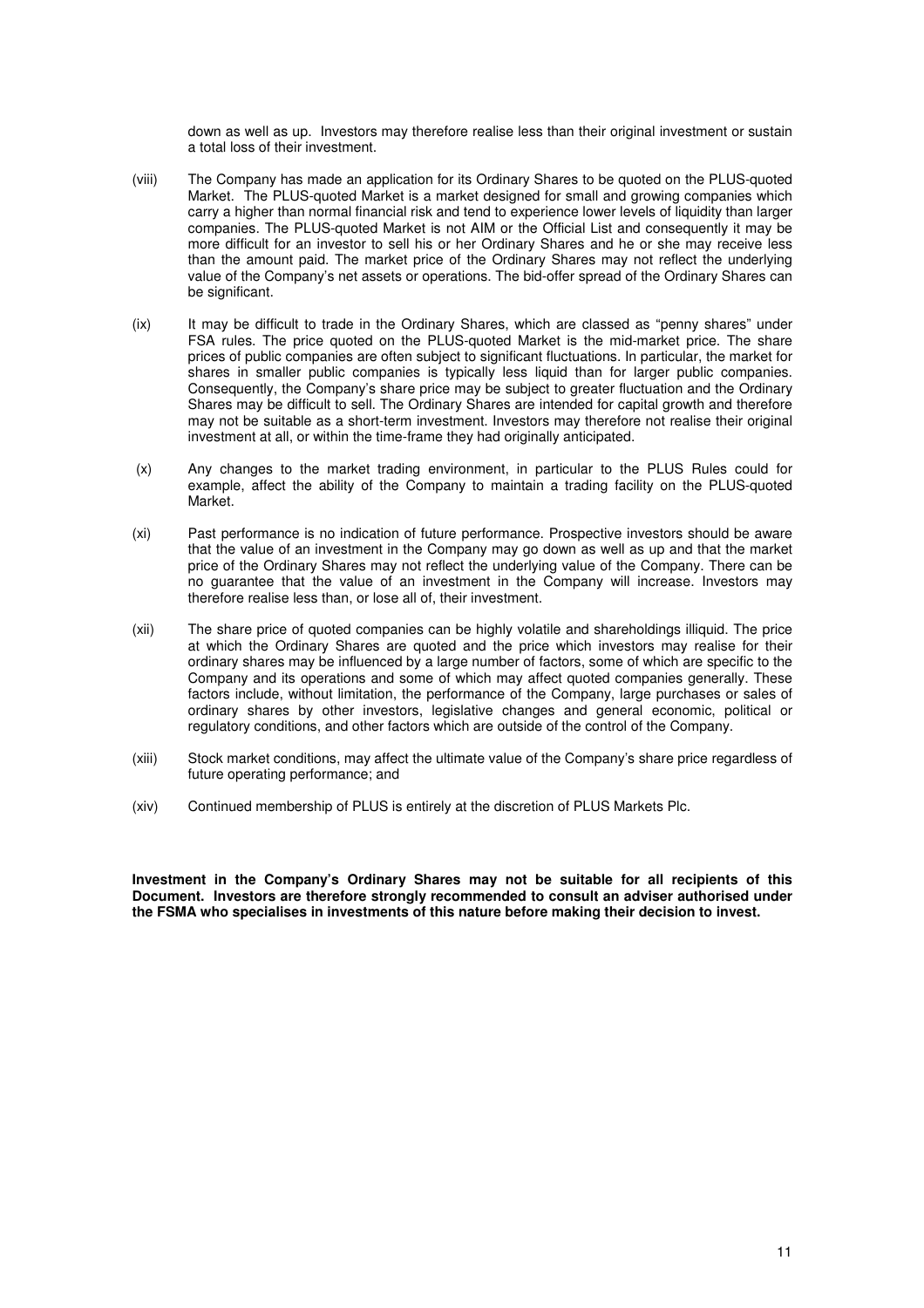down as well as up. Investors may therefore realise less than their original investment or sustain a total loss of their investment.

- (viii) The Company has made an application for its Ordinary Shares to be quoted on the PLUS-quoted Market. The PLUS-quoted Market is a market designed for small and growing companies which carry a higher than normal financial risk and tend to experience lower levels of liquidity than larger companies. The PLUS-quoted Market is not AIM or the Official List and consequently it may be more difficult for an investor to sell his or her Ordinary Shares and he or she may receive less than the amount paid. The market price of the Ordinary Shares may not reflect the underlying value of the Company's net assets or operations. The bid-offer spread of the Ordinary Shares can be significant.
- (ix) It may be difficult to trade in the Ordinary Shares, which are classed as "penny shares" under FSA rules. The price quoted on the PLUS-quoted Market is the mid-market price. The share prices of public companies are often subject to significant fluctuations. In particular, the market for shares in smaller public companies is typically less liquid than for larger public companies. Consequently, the Company's share price may be subject to greater fluctuation and the Ordinary Shares may be difficult to sell. The Ordinary Shares are intended for capital growth and therefore may not be suitable as a short-term investment. Investors may therefore not realise their original investment at all, or within the time-frame they had originally anticipated.
- (x) Any changes to the market trading environment, in particular to the PLUS Rules could for example, affect the ability of the Company to maintain a trading facility on the PLUS-quoted Market.
- (xi) Past performance is no indication of future performance. Prospective investors should be aware that the value of an investment in the Company may go down as well as up and that the market price of the Ordinary Shares may not reflect the underlying value of the Company. There can be no guarantee that the value of an investment in the Company will increase. Investors may therefore realise less than, or lose all of, their investment.
- (xii) The share price of quoted companies can be highly volatile and shareholdings illiquid. The price at which the Ordinary Shares are quoted and the price which investors may realise for their ordinary shares may be influenced by a large number of factors, some of which are specific to the Company and its operations and some of which may affect quoted companies generally. These factors include, without limitation, the performance of the Company, large purchases or sales of ordinary shares by other investors, legislative changes and general economic, political or regulatory conditions, and other factors which are outside of the control of the Company.
- (xiii) Stock market conditions, may affect the ultimate value of the Company's share price regardless of future operating performance; and
- (xiv) Continued membership of PLUS is entirely at the discretion of PLUS Markets Plc.

**Investment in the Company's Ordinary Shares may not be suitable for all recipients of this Document. Investors are therefore strongly recommended to consult an adviser authorised under the FSMA who specialises in investments of this nature before making their decision to invest.**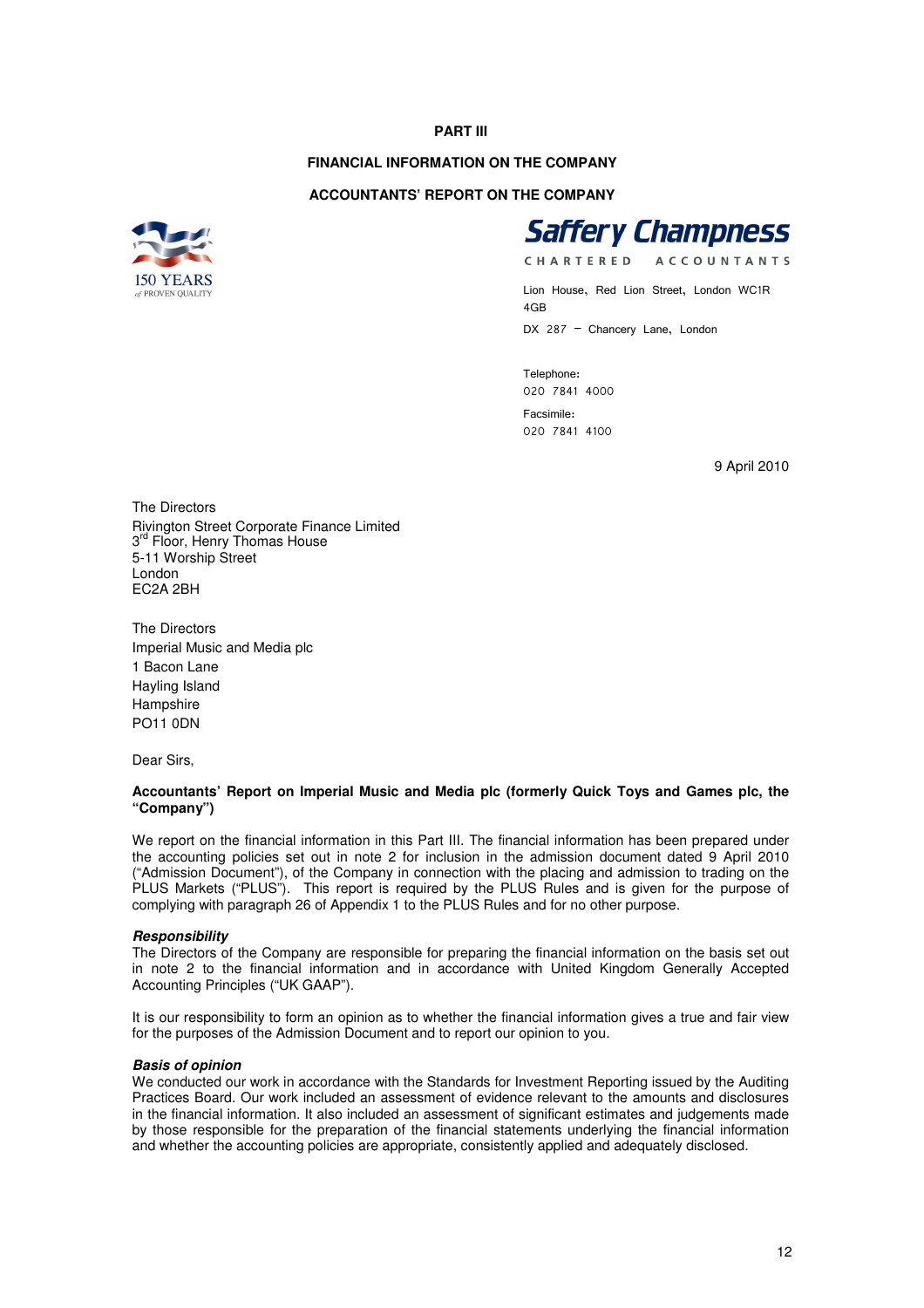## **PART III**

## **FINANCIAL INFORMATION ON THE COMPANY**

#### **ACCOUNTANTS' REPORT ON THE COMPANY**





CHARTERED **ACCOUNTANTS** 

Lion House, Red Lion Street, London WC1R 4GB DX 287 - Chancery Lane, London

Telephone: 020 7841 4000 Facsimile: 020 7841 4100

9 April 2010

The Directors Rivington Street Corporate Finance Limited 3<sup>rd</sup> Floor, Henry Thomas House 5-11 Worship Street London EC2A 2BH

The Directors Imperial Music and Media plc 1 Bacon Lane Hayling Island Hampshire PO11 0DN

Dear Sirs,

## **Accountants' Report on Imperial Music and Media plc (formerly Quick Toys and Games plc, the "Company")**

We report on the financial information in this Part III. The financial information has been prepared under the accounting policies set out in note 2 for inclusion in the admission document dated 9 April 2010 ("Admission Document"), of the Company in connection with the placing and admission to trading on the PLUS Markets ("PLUS"). This report is required by the PLUS Rules and is given for the purpose of complying with paragraph 26 of Appendix 1 to the PLUS Rules and for no other purpose.

#### **Responsibility**

The Directors of the Company are responsible for preparing the financial information on the basis set out in note 2 to the financial information and in accordance with United Kingdom Generally Accepted Accounting Principles ("UK GAAP").

It is our responsibility to form an opinion as to whether the financial information gives a true and fair view for the purposes of the Admission Document and to report our opinion to you.

#### **Basis of opinion**

We conducted our work in accordance with the Standards for Investment Reporting issued by the Auditing Practices Board. Our work included an assessment of evidence relevant to the amounts and disclosures in the financial information. It also included an assessment of significant estimates and judgements made by those responsible for the preparation of the financial statements underlying the financial information and whether the accounting policies are appropriate, consistently applied and adequately disclosed.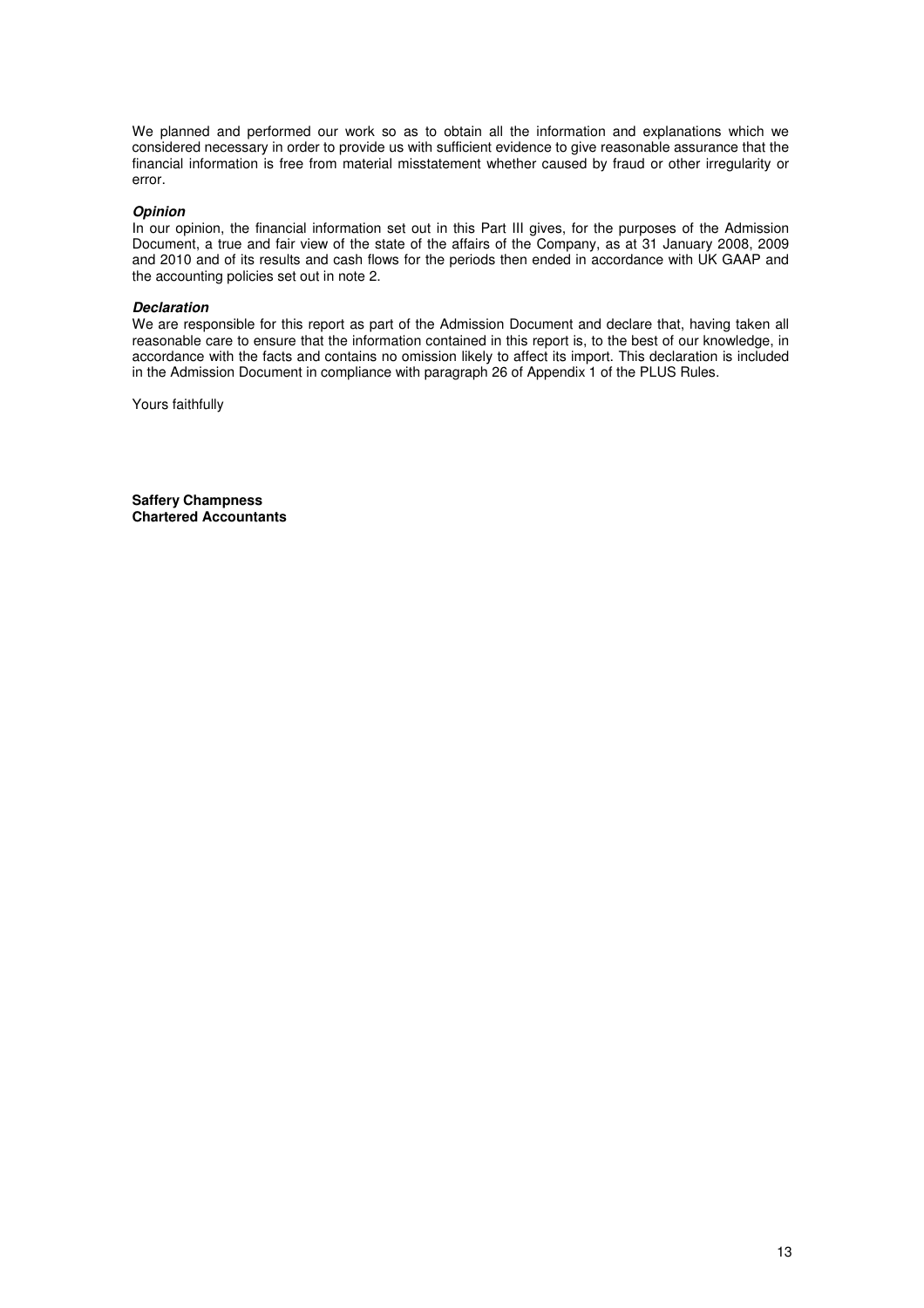We planned and performed our work so as to obtain all the information and explanations which we considered necessary in order to provide us with sufficient evidence to give reasonable assurance that the financial information is free from material misstatement whether caused by fraud or other irregularity or error.

#### **Opinion**

In our opinion, the financial information set out in this Part III gives, for the purposes of the Admission Document, a true and fair view of the state of the affairs of the Company, as at 31 January 2008, 2009 and 2010 and of its results and cash flows for the periods then ended in accordance with UK GAAP and the accounting policies set out in note 2.

#### **Declaration**

We are responsible for this report as part of the Admission Document and declare that, having taken all reasonable care to ensure that the information contained in this report is, to the best of our knowledge, in accordance with the facts and contains no omission likely to affect its import. This declaration is included in the Admission Document in compliance with paragraph 26 of Appendix 1 of the PLUS Rules.

Yours faithfully

**Saffery Champness Chartered Accountants**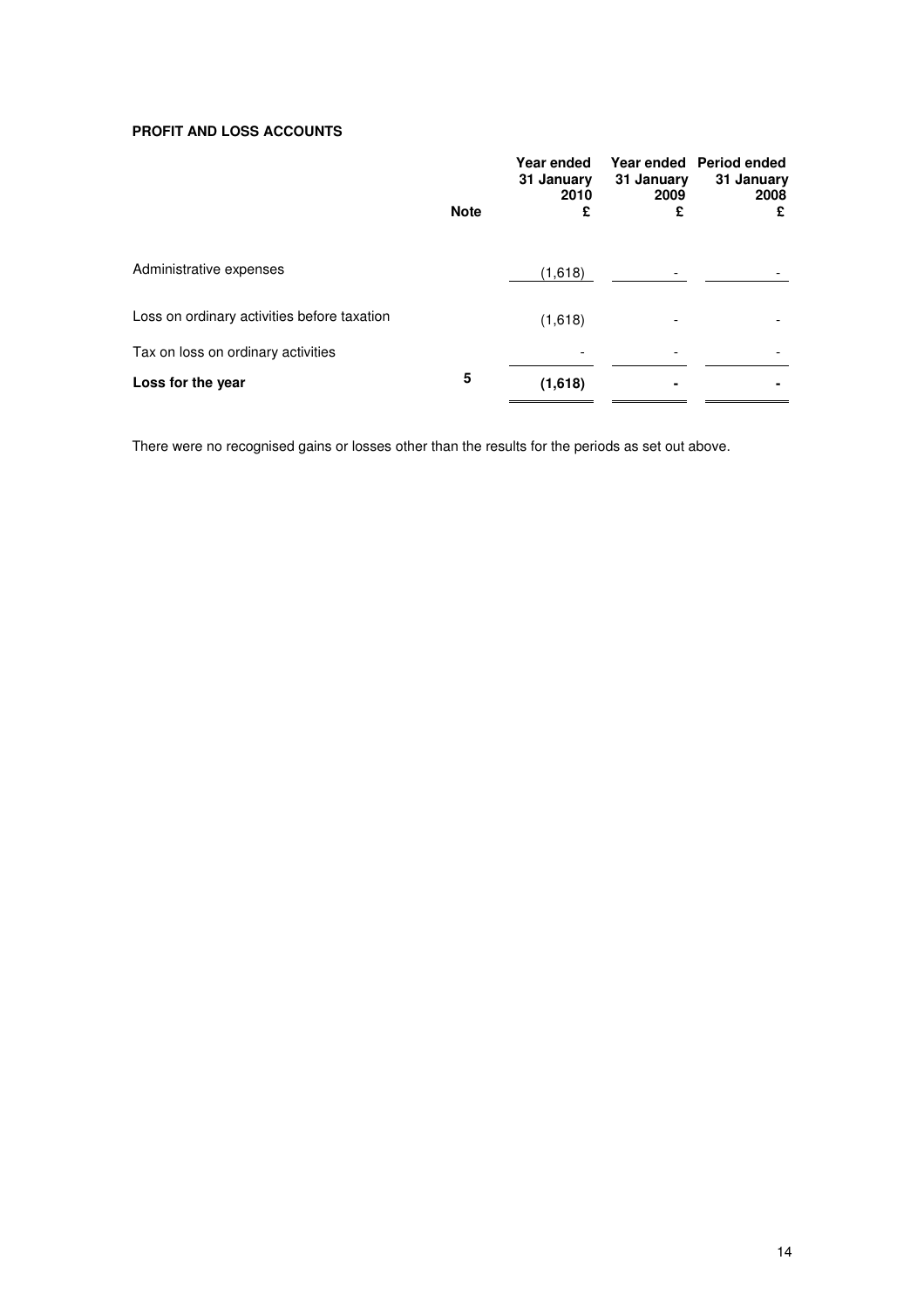## **PROFIT AND LOSS ACCOUNTS**

|                                             | <b>Note</b> | Year ended<br>31 January<br>2010<br>£ | 31 January<br>2009<br>£ | Year ended Period ended<br>31 January<br>2008<br>£ |
|---------------------------------------------|-------------|---------------------------------------|-------------------------|----------------------------------------------------|
| Administrative expenses                     |             | (1,618)                               |                         |                                                    |
| Loss on ordinary activities before taxation |             | (1,618)                               |                         |                                                    |
| Tax on loss on ordinary activities          |             |                                       |                         |                                                    |
| Loss for the year                           | 5           | (1,618)                               |                         |                                                    |

There were no recognised gains or losses other than the results for the periods as set out above.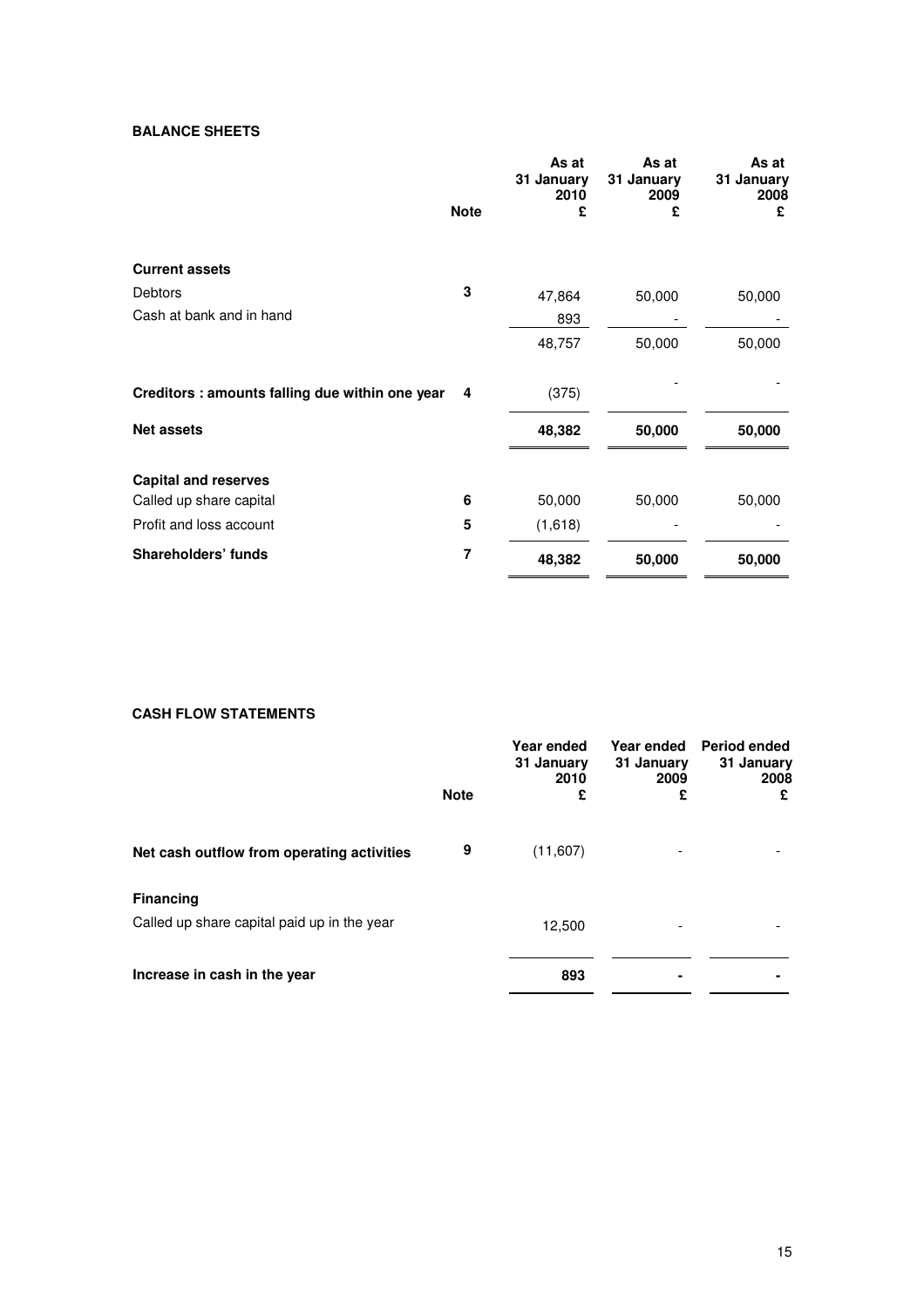## **BALANCE SHEETS**

|                                                 | <b>Note</b> | As at<br>31 January<br>2010<br>£ | As at<br>31 January<br>2009<br>£ | As at<br>31 January<br>2008<br>£ |
|-------------------------------------------------|-------------|----------------------------------|----------------------------------|----------------------------------|
|                                                 |             |                                  |                                  |                                  |
| <b>Current assets</b>                           |             |                                  |                                  |                                  |
| <b>Debtors</b>                                  | 3           | 47,864                           | 50,000                           | 50,000                           |
| Cash at bank and in hand                        |             | 893                              |                                  |                                  |
|                                                 |             | 48,757                           | 50,000                           | 50,000                           |
| Creditors : amounts falling due within one year | 4           | (375)                            |                                  |                                  |
| <b>Net assets</b>                               |             | 48,382                           | 50,000                           | 50,000                           |
| <b>Capital and reserves</b>                     |             |                                  |                                  |                                  |
| Called up share capital                         | 6           | 50,000                           | 50,000                           | 50,000                           |
| Profit and loss account                         | 5           | (1,618)                          |                                  |                                  |
| Shareholders' funds                             | 7           | 48,382                           | 50,000                           | 50,000                           |

## **CASH FLOW STATEMENTS**

|                                                                 | <b>Note</b> | Year ended<br>31 January<br>2010<br>£ | Year ended<br>31 January<br>2009<br>£ | Period ended<br>31 January<br>2008<br>£ |
|-----------------------------------------------------------------|-------------|---------------------------------------|---------------------------------------|-----------------------------------------|
| Net cash outflow from operating activities                      | 9           | (11,607)                              |                                       |                                         |
| <b>Financing</b><br>Called up share capital paid up in the year |             | 12,500                                |                                       |                                         |
| Increase in cash in the year                                    |             | 893                                   |                                       |                                         |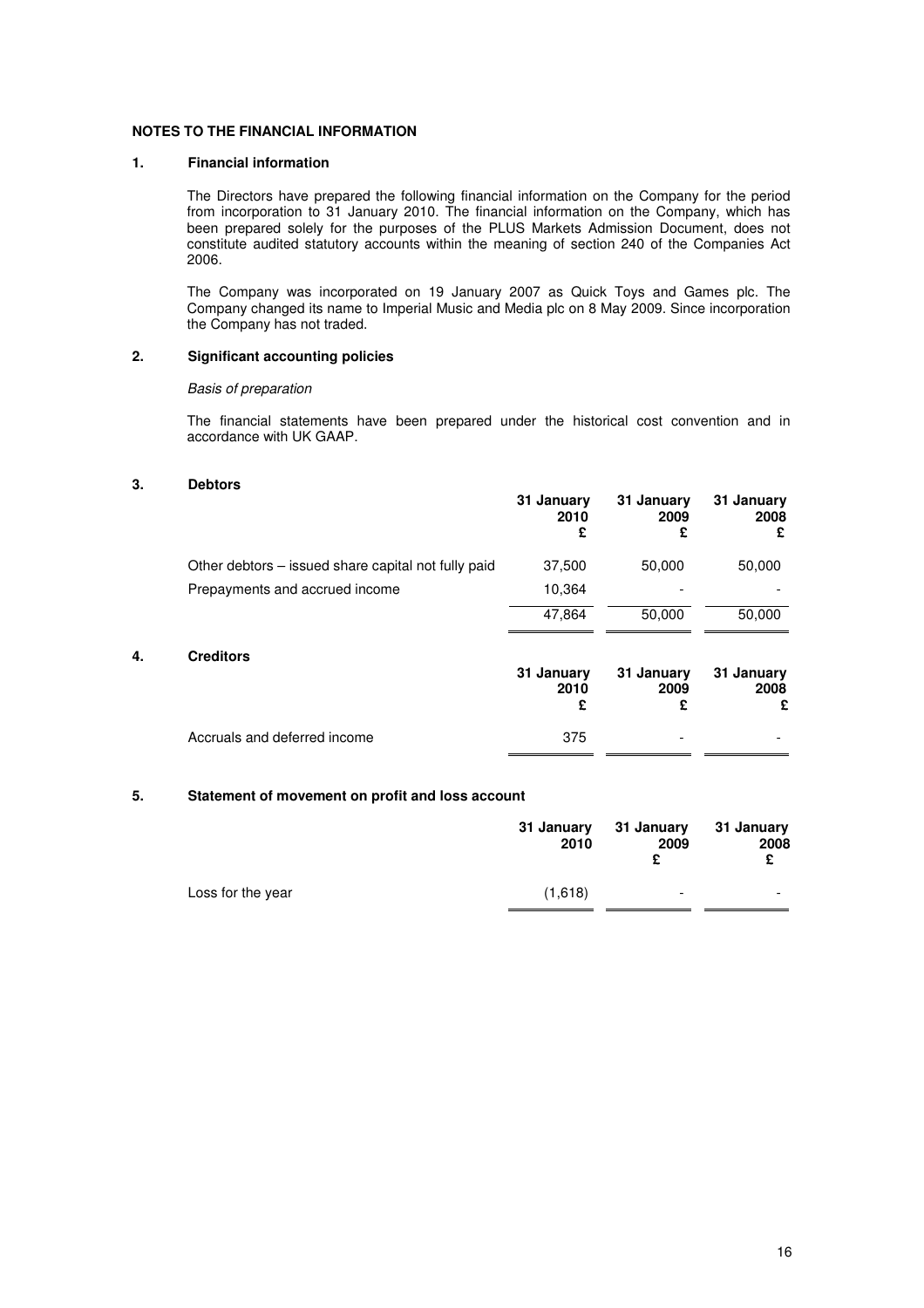## **NOTES TO THE FINANCIAL INFORMATION**

## **1. Financial information**

The Directors have prepared the following financial information on the Company for the period from incorporation to 31 January 2010. The financial information on the Company, which has been prepared solely for the purposes of the PLUS Markets Admission Document, does not constitute audited statutory accounts within the meaning of section 240 of the Companies Act 2006.

The Company was incorporated on 19 January 2007 as Quick Toys and Games plc. The Company changed its name to Imperial Music and Media plc on 8 May 2009. Since incorporation the Company has not traded.

## **2. Significant accounting policies**

## Basis of preparation

The financial statements have been prepared under the historical cost convention and in accordance with UK GAAP.

## **3. Debtors**

|    |                                                     | 31 January<br>2010<br>£ | 31 January<br>2009<br>£ | 31 January<br>2008<br>£ |
|----|-----------------------------------------------------|-------------------------|-------------------------|-------------------------|
|    | Other debtors – issued share capital not fully paid | 37,500                  | 50,000                  | 50,000                  |
|    | Prepayments and accrued income                      | 10,364                  |                         |                         |
|    |                                                     | 47,864                  | 50,000                  | 50,000                  |
| 4. | <b>Creditors</b>                                    | 31 January<br>2010<br>£ | 31 January<br>2009<br>£ | 31 January<br>2008<br>£ |
|    | Accruals and deferred income                        | 375                     |                         |                         |

## **5. Statement of movement on profit and loss account**

|                   | 31 January<br>2010 | 31 January<br>2009<br>c  | 31 January<br>2008<br>£ |
|-------------------|--------------------|--------------------------|-------------------------|
| Loss for the year | (1,618)            | $\overline{\phantom{a}}$ | -                       |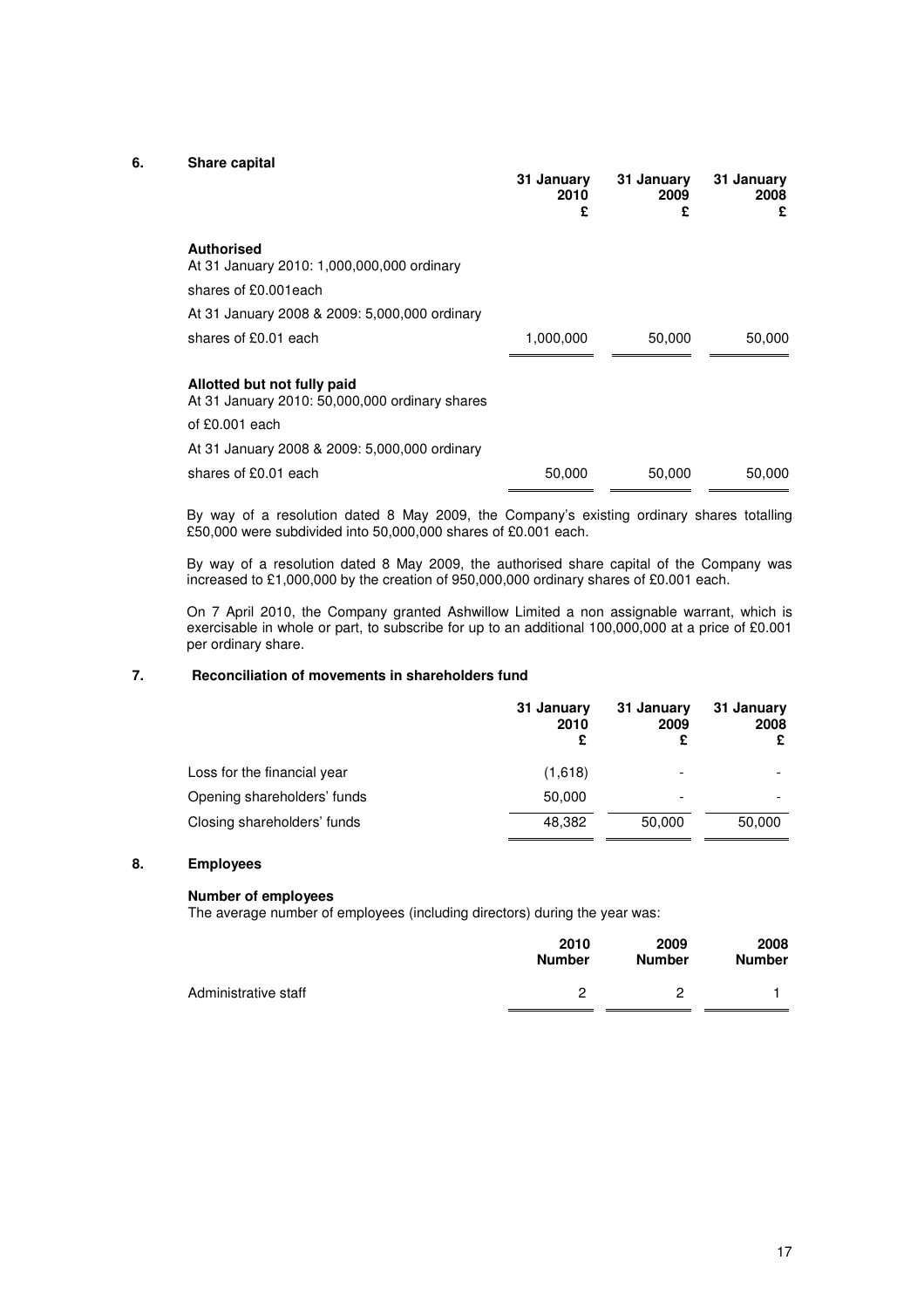## **6. Share capital**

|                                                                               | 31 January<br>2010<br>£ | 31 January<br>2009<br>£ | 31 January<br>2008<br>£ |
|-------------------------------------------------------------------------------|-------------------------|-------------------------|-------------------------|
| <b>Authorised</b><br>At 31 January 2010: 1,000,000,000 ordinary               |                         |                         |                         |
| shares of £0.001each                                                          |                         |                         |                         |
| At 31 January 2008 & 2009: 5,000,000 ordinary                                 |                         |                         |                         |
| shares of £0.01 each                                                          | 1,000,000               | 50,000                  | 50,000                  |
| Allotted but not fully paid<br>At 31 January 2010: 50,000,000 ordinary shares |                         |                         |                         |
| of $£0.001$ each                                                              |                         |                         |                         |
| At 31 January 2008 & 2009: 5,000,000 ordinary                                 |                         |                         |                         |
| shares of £0.01 each                                                          | 50,000                  | 50,000                  | 50,000                  |

By way of a resolution dated 8 May 2009, the Company's existing ordinary shares totalling £50,000 were subdivided into 50,000,000 shares of £0.001 each.

By way of a resolution dated 8 May 2009, the authorised share capital of the Company was increased to £1,000,000 by the creation of 950,000,000 ordinary shares of £0.001 each.

On 7 April 2010, the Company granted Ashwillow Limited a non assignable warrant, which is exercisable in whole or part, to subscribe for up to an additional 100,000,000 at a price of £0.001 per ordinary share.

## **7. Reconciliation of movements in shareholders fund**

|                             | 31 January<br>2010<br>£ | 31 January<br>2009       | 31 January<br>2008 |
|-----------------------------|-------------------------|--------------------------|--------------------|
| Loss for the financial year | (1,618)                 |                          |                    |
| Opening shareholders' funds | 50,000                  | $\overline{\phantom{a}}$ |                    |
| Closing shareholders' funds | 48.382                  | 50,000                   | 50,000             |

## **8. Employees**

## **Number of employees**

The average number of employees (including directors) during the year was:

|                      | 2010          | 2009          | 2008          |
|----------------------|---------------|---------------|---------------|
|                      | <b>Number</b> | <b>Number</b> | <b>Number</b> |
| Administrative staff |               |               |               |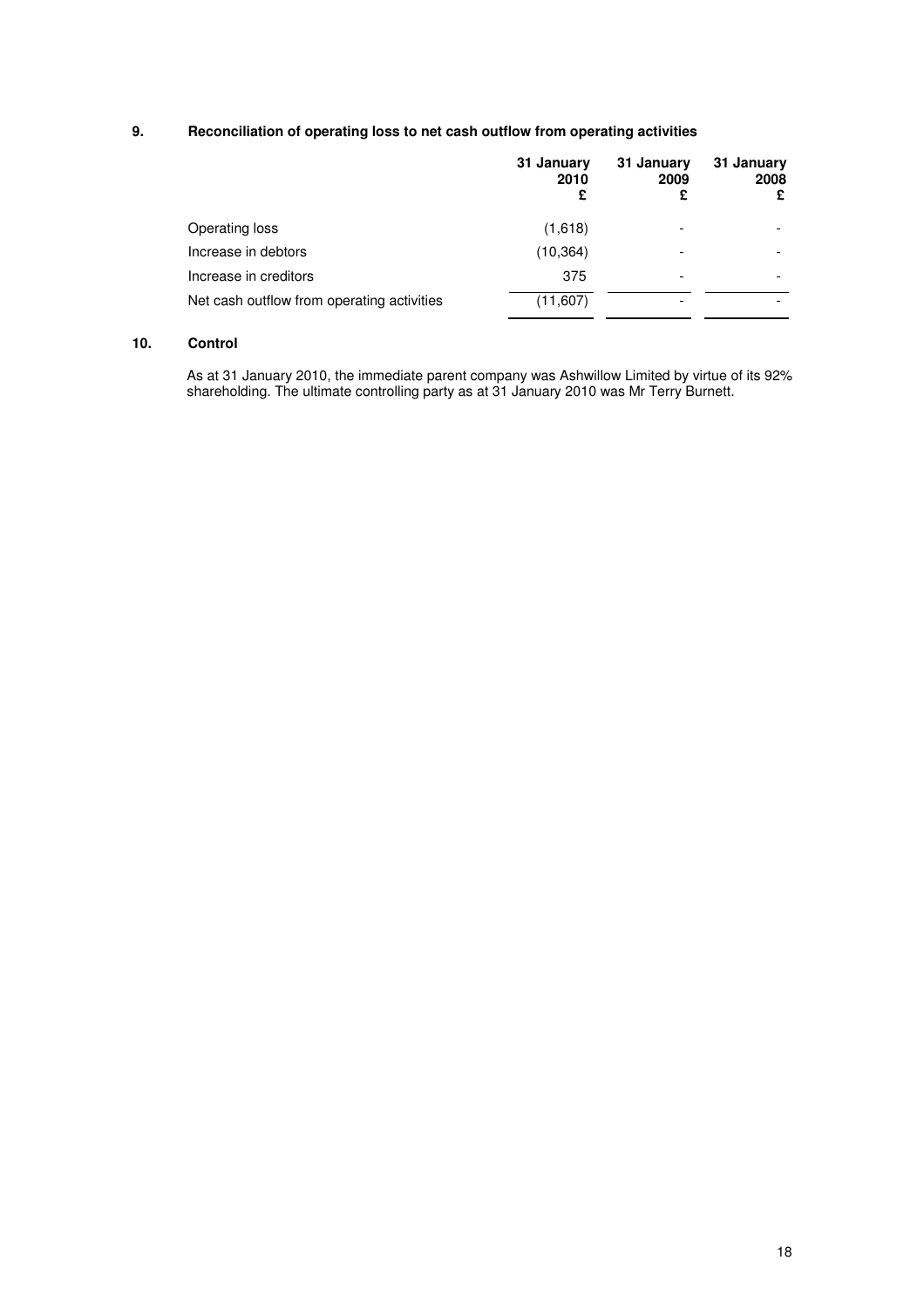## **9. Reconciliation of operating loss to net cash outflow from operating activities**

| 2010<br>2009 | 2008<br>£ |
|--------------|-----------|
| (1,618)      |           |
| (10, 364)    |           |
| 375          |           |
| (11, 607)    |           |
|              |           |

## **10. Control**

As at 31 January 2010, the immediate parent company was Ashwillow Limited by virtue of its 92% shareholding. The ultimate controlling party as at 31 January 2010 was Mr Terry Burnett.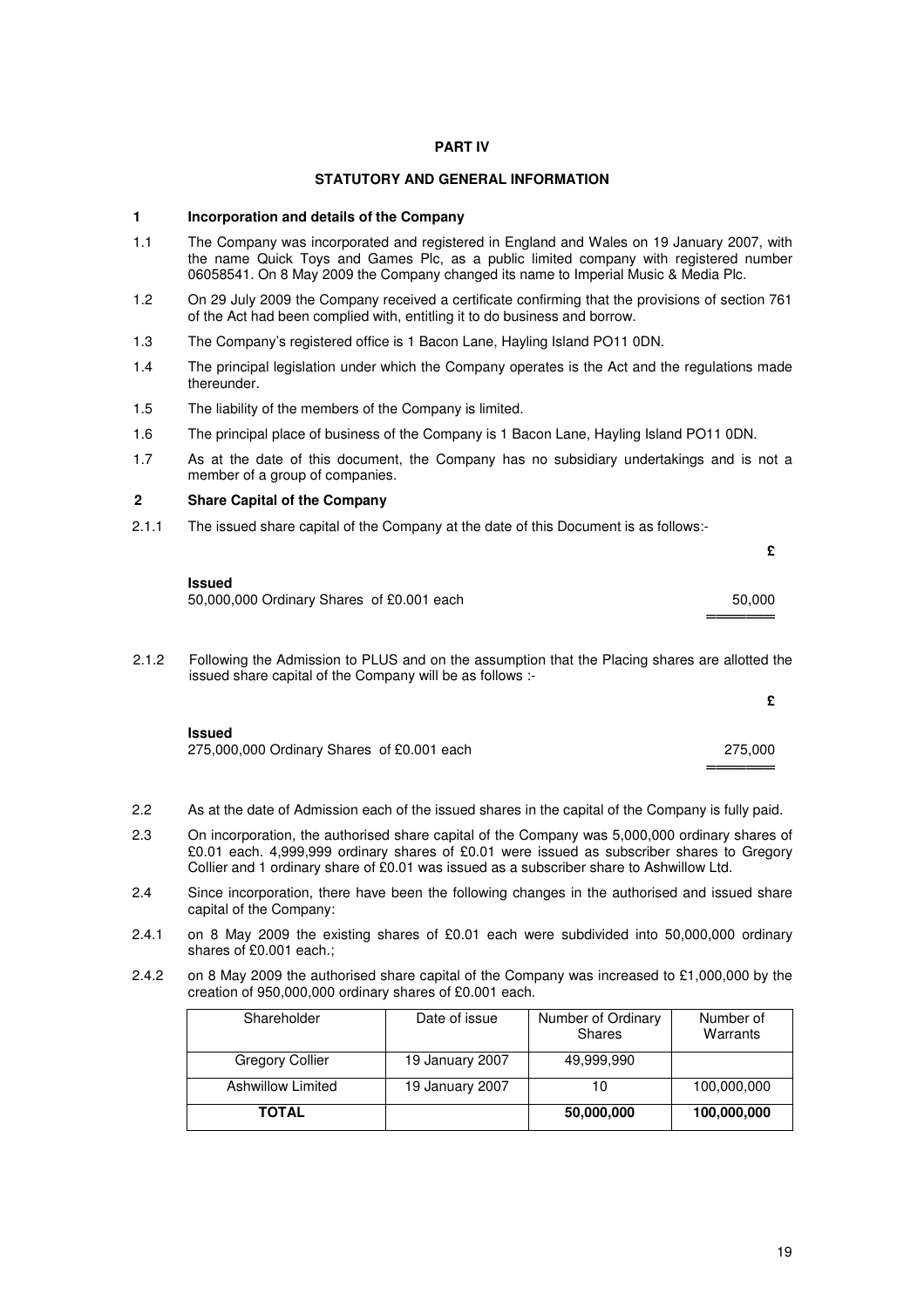## **PART IV**

## **STATUTORY AND GENERAL INFORMATION**

## **1 Incorporation and details of the Company**

- 1.1 The Company was incorporated and registered in England and Wales on 19 January 2007, with the name Quick Toys and Games Plc, as a public limited company with registered number 06058541. On 8 May 2009 the Company changed its name to Imperial Music & Media Plc.
- 1.2 On 29 July 2009 the Company received a certificate confirming that the provisions of section 761 of the Act had been complied with, entitling it to do business and borrow.
- 1.3 The Company's registered office is 1 Bacon Lane, Hayling Island PO11 0DN.
- 1.4 The principal legislation under which the Company operates is the Act and the regulations made thereunder.
- 1.5 The liability of the members of the Company is limited.
- 1.6 The principal place of business of the Company is 1 Bacon Lane, Hayling Island PO11 0DN.
- 1.7 As at the date of this document, the Company has no subsidiary undertakings and is not a member of a group of companies.

## **2 Share Capital of the Company**

2.1.1 The issued share capital of the Company at the date of this Document is as follows:-

| <b>Issued</b>                             |        |
|-------------------------------------------|--------|
| 50,000,000 Ordinary Shares of £0.001 each | 50.000 |
|                                           |        |

2.1.2 Following the Admission to PLUS and on the assumption that the Placing shares are allotted the issued share capital of the Company will be as follows :-

| <b>Issued</b><br>275,000,000 Ordinary Shares of £0.001 each | 275,000 |
|-------------------------------------------------------------|---------|

- 2.2 As at the date of Admission each of the issued shares in the capital of the Company is fully paid.
- 2.3 On incorporation, the authorised share capital of the Company was 5,000,000 ordinary shares of £0.01 each. 4,999,999 ordinary shares of £0.01 were issued as subscriber shares to Gregory Collier and 1 ordinary share of £0.01 was issued as a subscriber share to Ashwillow Ltd.
- 2.4 Since incorporation, there have been the following changes in the authorised and issued share capital of the Company:
- 2.4.1 on 8 May 2009 the existing shares of £0.01 each were subdivided into 50,000,000 ordinary shares of £0.001 each.;
- 2.4.2 on 8 May 2009 the authorised share capital of the Company was increased to £1,000,000 by the creation of 950,000,000 ordinary shares of £0.001 each.

| Shareholder       | Date of issue   | Number of Ordinary<br><b>Shares</b> | Number of<br>Warrants |
|-------------------|-----------------|-------------------------------------|-----------------------|
| Gregory Collier   | 19 January 2007 | 49,999,990                          |                       |
| Ashwillow Limited | 19 January 2007 | 10                                  | 100,000,000           |
| <b>TOTAL</b>      |                 | 50,000,000                          | 100,000,000           |

**£**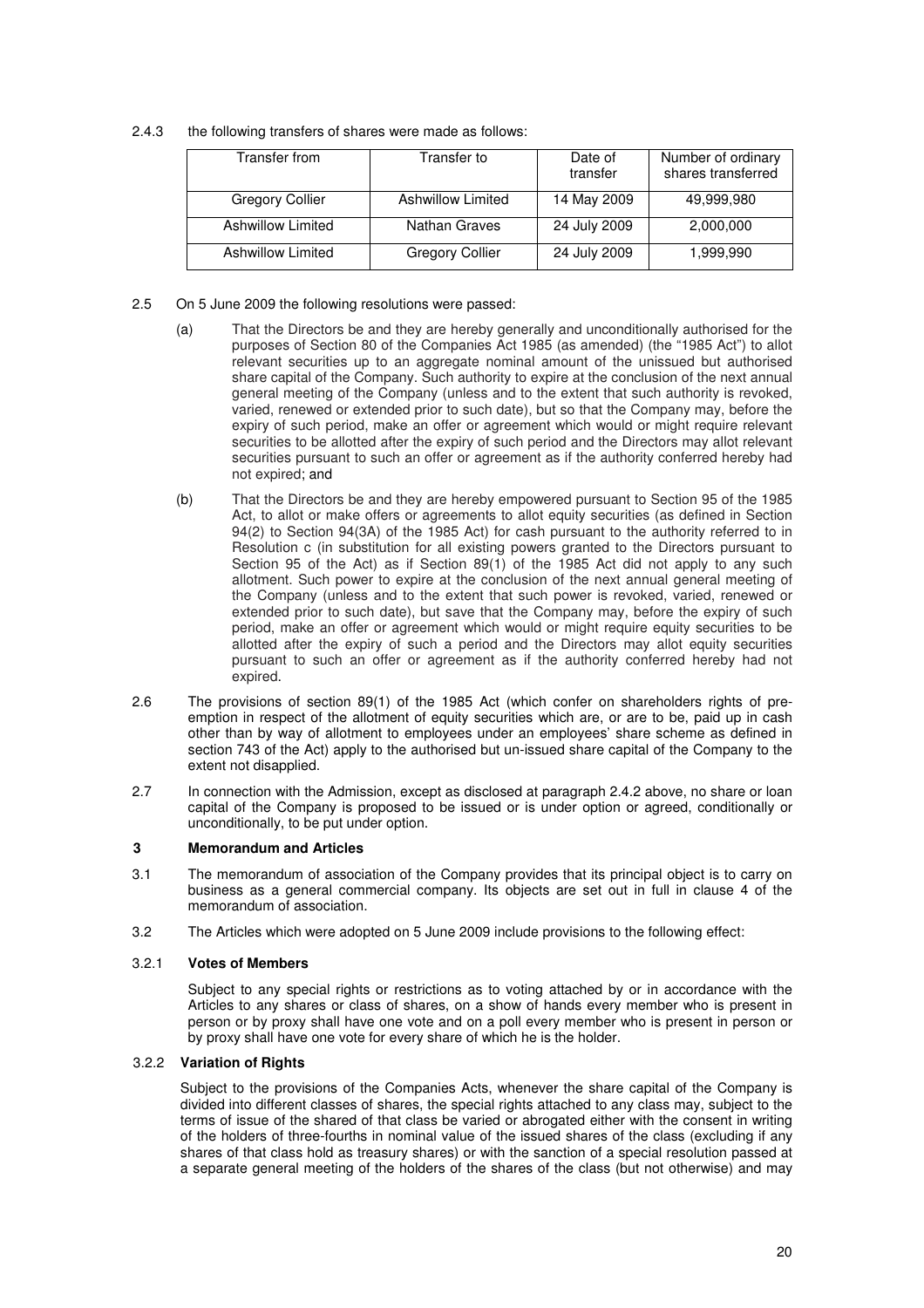2.4.3 the following transfers of shares were made as follows:

| Transfer from     | Transfer to              | Date of<br>transfer | Number of ordinary<br>shares transferred |
|-------------------|--------------------------|---------------------|------------------------------------------|
| Gregory Collier   | <b>Ashwillow Limited</b> | 14 May 2009         | 49,999,980                               |
| Ashwillow Limited | Nathan Graves            | 24 July 2009        | 2,000,000                                |
| Ashwillow Limited | <b>Gregory Collier</b>   | 24 July 2009        | 1,999,990                                |

- 2.5 On 5 June 2009 the following resolutions were passed:
	- (a) That the Directors be and they are hereby generally and unconditionally authorised for the purposes of Section 80 of the Companies Act 1985 (as amended) (the "1985 Act") to allot relevant securities up to an aggregate nominal amount of the unissued but authorised share capital of the Company. Such authority to expire at the conclusion of the next annual general meeting of the Company (unless and to the extent that such authority is revoked, varied, renewed or extended prior to such date), but so that the Company may, before the expiry of such period, make an offer or agreement which would or might require relevant securities to be allotted after the expiry of such period and the Directors may allot relevant securities pursuant to such an offer or agreement as if the authority conferred hereby had not expired; and
	- (b) That the Directors be and they are hereby empowered pursuant to Section 95 of the 1985 Act, to allot or make offers or agreements to allot equity securities (as defined in Section 94(2) to Section 94(3A) of the 1985 Act) for cash pursuant to the authority referred to in Resolution c (in substitution for all existing powers granted to the Directors pursuant to Section 95 of the Act) as if Section 89(1) of the 1985 Act did not apply to any such allotment. Such power to expire at the conclusion of the next annual general meeting of the Company (unless and to the extent that such power is revoked, varied, renewed or extended prior to such date), but save that the Company may, before the expiry of such period, make an offer or agreement which would or might require equity securities to be allotted after the expiry of such a period and the Directors may allot equity securities pursuant to such an offer or agreement as if the authority conferred hereby had not expired.
- 2.6 The provisions of section 89(1) of the 1985 Act (which confer on shareholders rights of preemption in respect of the allotment of equity securities which are, or are to be, paid up in cash other than by way of allotment to employees under an employees' share scheme as defined in section 743 of the Act) apply to the authorised but un-issued share capital of the Company to the extent not disapplied.
- 2.7 In connection with the Admission, except as disclosed at paragraph 2.4.2 above, no share or loan capital of the Company is proposed to be issued or is under option or agreed, conditionally or unconditionally, to be put under option.

## **3 Memorandum and Articles**

- 3.1 The memorandum of association of the Company provides that its principal object is to carry on business as a general commercial company. Its objects are set out in full in clause 4 of the memorandum of association.
- 3.2 The Articles which were adopted on 5 June 2009 include provisions to the following effect:

## 3.2.1 **Votes of Members**

Subject to any special rights or restrictions as to voting attached by or in accordance with the Articles to any shares or class of shares, on a show of hands every member who is present in person or by proxy shall have one vote and on a poll every member who is present in person or by proxy shall have one vote for every share of which he is the holder.

## 3.2.2 **Variation of Rights**

Subject to the provisions of the Companies Acts, whenever the share capital of the Company is divided into different classes of shares, the special rights attached to any class may, subject to the terms of issue of the shared of that class be varied or abrogated either with the consent in writing of the holders of three-fourths in nominal value of the issued shares of the class (excluding if any shares of that class hold as treasury shares) or with the sanction of a special resolution passed at a separate general meeting of the holders of the shares of the class (but not otherwise) and may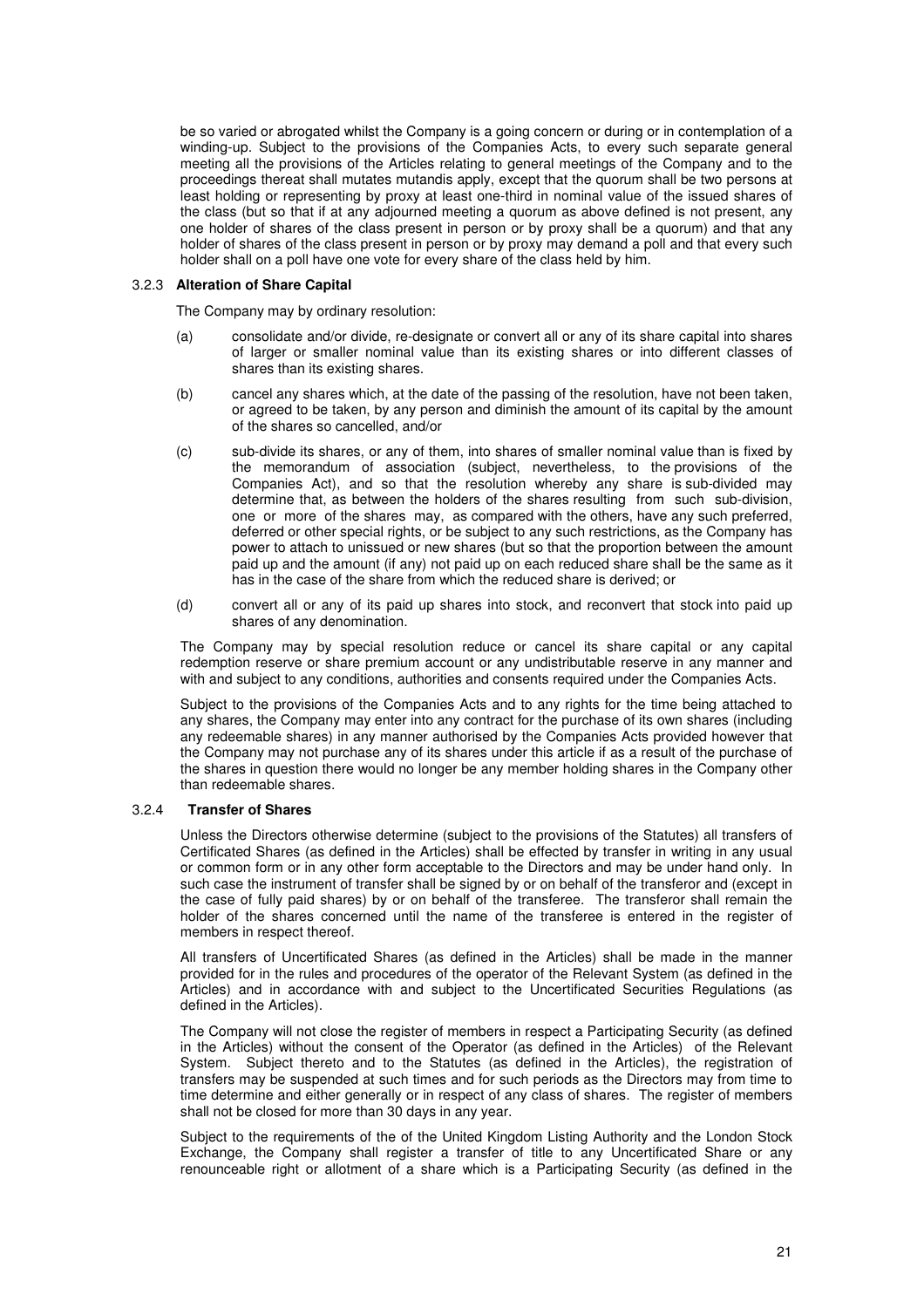be so varied or abrogated whilst the Company is a going concern or during or in contemplation of a winding-up. Subject to the provisions of the Companies Acts, to every such separate general meeting all the provisions of the Articles relating to general meetings of the Company and to the proceedings thereat shall mutates mutandis apply, except that the quorum shall be two persons at least holding or representing by proxy at least one-third in nominal value of the issued shares of the class (but so that if at any adjourned meeting a quorum as above defined is not present, any one holder of shares of the class present in person or by proxy shall be a quorum) and that any holder of shares of the class present in person or by proxy may demand a poll and that every such holder shall on a poll have one vote for every share of the class held by him.

## 3.2.3 **Alteration of Share Capital**

The Company may by ordinary resolution:

- (a) consolidate and/or divide, re-designate or convert all or any of its share capital into shares of larger or smaller nominal value than its existing shares or into different classes of shares than its existing shares.
- (b) cancel any shares which, at the date of the passing of the resolution, have not been taken, or agreed to be taken, by any person and diminish the amount of its capital by the amount of the shares so cancelled, and/or
- (c) sub-divide its shares, or any of them, into shares of smaller nominal value than is fixed by the memorandum of association (subject, nevertheless, to the provisions of the Companies Act), and so that the resolution whereby any share is sub-divided may determine that, as between the holders of the shares resulting from such sub-division, one or more of the shares may, as compared with the others, have any such preferred, deferred or other special rights, or be subject to any such restrictions, as the Company has power to attach to unissued or new shares (but so that the proportion between the amount paid up and the amount (if any) not paid up on each reduced share shall be the same as it has in the case of the share from which the reduced share is derived; or
- (d) convert all or any of its paid up shares into stock, and reconvert that stock into paid up shares of any denomination.

The Company may by special resolution reduce or cancel its share capital or any capital redemption reserve or share premium account or any undistributable reserve in any manner and with and subject to any conditions, authorities and consents required under the Companies Acts.

Subject to the provisions of the Companies Acts and to any rights for the time being attached to any shares, the Company may enter into any contract for the purchase of its own shares (including any redeemable shares) in any manner authorised by the Companies Acts provided however that the Company may not purchase any of its shares under this article if as a result of the purchase of the shares in question there would no longer be any member holding shares in the Company other than redeemable shares.

## 3.2.4 **Transfer of Shares**

Unless the Directors otherwise determine (subject to the provisions of the Statutes) all transfers of Certificated Shares (as defined in the Articles) shall be effected by transfer in writing in any usual or common form or in any other form acceptable to the Directors and may be under hand only. In such case the instrument of transfer shall be signed by or on behalf of the transferor and (except in the case of fully paid shares) by or on behalf of the transferee. The transferor shall remain the holder of the shares concerned until the name of the transferee is entered in the register of members in respect thereof.

All transfers of Uncertificated Shares (as defined in the Articles) shall be made in the manner provided for in the rules and procedures of the operator of the Relevant System (as defined in the Articles) and in accordance with and subject to the Uncertificated Securities Regulations (as defined in the Articles).

The Company will not close the register of members in respect a Participating Security (as defined in the Articles) without the consent of the Operator (as defined in the Articles) of the Relevant System. Subject thereto and to the Statutes (as defined in the Articles), the registration of transfers may be suspended at such times and for such periods as the Directors may from time to time determine and either generally or in respect of any class of shares. The register of members shall not be closed for more than 30 days in any year.

Subject to the requirements of the of the United Kingdom Listing Authority and the London Stock Exchange, the Company shall register a transfer of title to any Uncertificated Share or any renounceable right or allotment of a share which is a Participating Security (as defined in the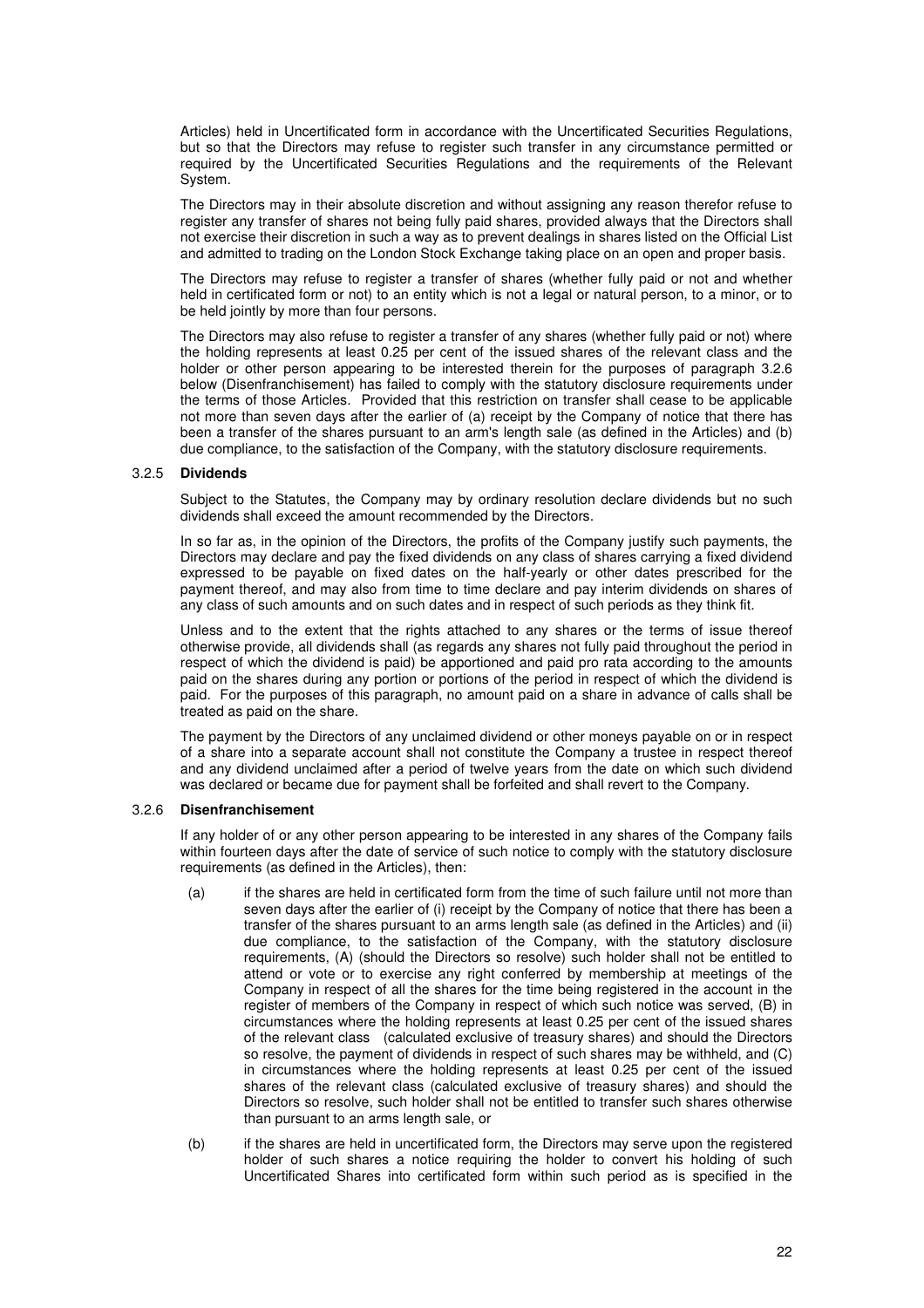Articles) held in Uncertificated form in accordance with the Uncertificated Securities Regulations, but so that the Directors may refuse to register such transfer in any circumstance permitted or required by the Uncertificated Securities Regulations and the requirements of the Relevant System.

The Directors may in their absolute discretion and without assigning any reason therefor refuse to register any transfer of shares not being fully paid shares, provided always that the Directors shall not exercise their discretion in such a way as to prevent dealings in shares listed on the Official List and admitted to trading on the London Stock Exchange taking place on an open and proper basis.

The Directors may refuse to register a transfer of shares (whether fully paid or not and whether held in certificated form or not) to an entity which is not a legal or natural person, to a minor, or to be held jointly by more than four persons.

The Directors may also refuse to register a transfer of any shares (whether fully paid or not) where the holding represents at least 0.25 per cent of the issued shares of the relevant class and the holder or other person appearing to be interested therein for the purposes of paragraph 3.2.6 below (Disenfranchisement) has failed to comply with the statutory disclosure requirements under the terms of those Articles. Provided that this restriction on transfer shall cease to be applicable not more than seven days after the earlier of (a) receipt by the Company of notice that there has been a transfer of the shares pursuant to an arm's length sale (as defined in the Articles) and (b) due compliance, to the satisfaction of the Company, with the statutory disclosure requirements.

#### 3.2.5 **Dividends**

Subject to the Statutes, the Company may by ordinary resolution declare dividends but no such dividends shall exceed the amount recommended by the Directors.

In so far as, in the opinion of the Directors, the profits of the Company justify such payments, the Directors may declare and pay the fixed dividends on any class of shares carrying a fixed dividend expressed to be payable on fixed dates on the half-yearly or other dates prescribed for the payment thereof, and may also from time to time declare and pay interim dividends on shares of any class of such amounts and on such dates and in respect of such periods as they think fit.

Unless and to the extent that the rights attached to any shares or the terms of issue thereof otherwise provide, all dividends shall (as regards any shares not fully paid throughout the period in respect of which the dividend is paid) be apportioned and paid pro rata according to the amounts paid on the shares during any portion or portions of the period in respect of which the dividend is paid. For the purposes of this paragraph, no amount paid on a share in advance of calls shall be treated as paid on the share.

The payment by the Directors of any unclaimed dividend or other moneys payable on or in respect of a share into a separate account shall not constitute the Company a trustee in respect thereof and any dividend unclaimed after a period of twelve years from the date on which such dividend was declared or became due for payment shall be forfeited and shall revert to the Company.

#### 3.2.6 **Disenfranchisement**

If any holder of or any other person appearing to be interested in any shares of the Company fails within fourteen days after the date of service of such notice to comply with the statutory disclosure requirements (as defined in the Articles), then:

- (a) if the shares are held in certificated form from the time of such failure until not more than seven days after the earlier of (i) receipt by the Company of notice that there has been a transfer of the shares pursuant to an arms length sale (as defined in the Articles) and (ii) due compliance, to the satisfaction of the Company, with the statutory disclosure requirements, (A) (should the Directors so resolve) such holder shall not be entitled to attend or vote or to exercise any right conferred by membership at meetings of the Company in respect of all the shares for the time being registered in the account in the register of members of the Company in respect of which such notice was served, (B) in circumstances where the holding represents at least 0.25 per cent of the issued shares of the relevant class (calculated exclusive of treasury shares) and should the Directors so resolve, the payment of dividends in respect of such shares may be withheld, and (C) in circumstances where the holding represents at least 0.25 per cent of the issued shares of the relevant class (calculated exclusive of treasury shares) and should the Directors so resolve, such holder shall not be entitled to transfer such shares otherwise than pursuant to an arms length sale, or
- (b) if the shares are held in uncertificated form, the Directors may serve upon the registered holder of such shares a notice requiring the holder to convert his holding of such Uncertificated Shares into certificated form within such period as is specified in the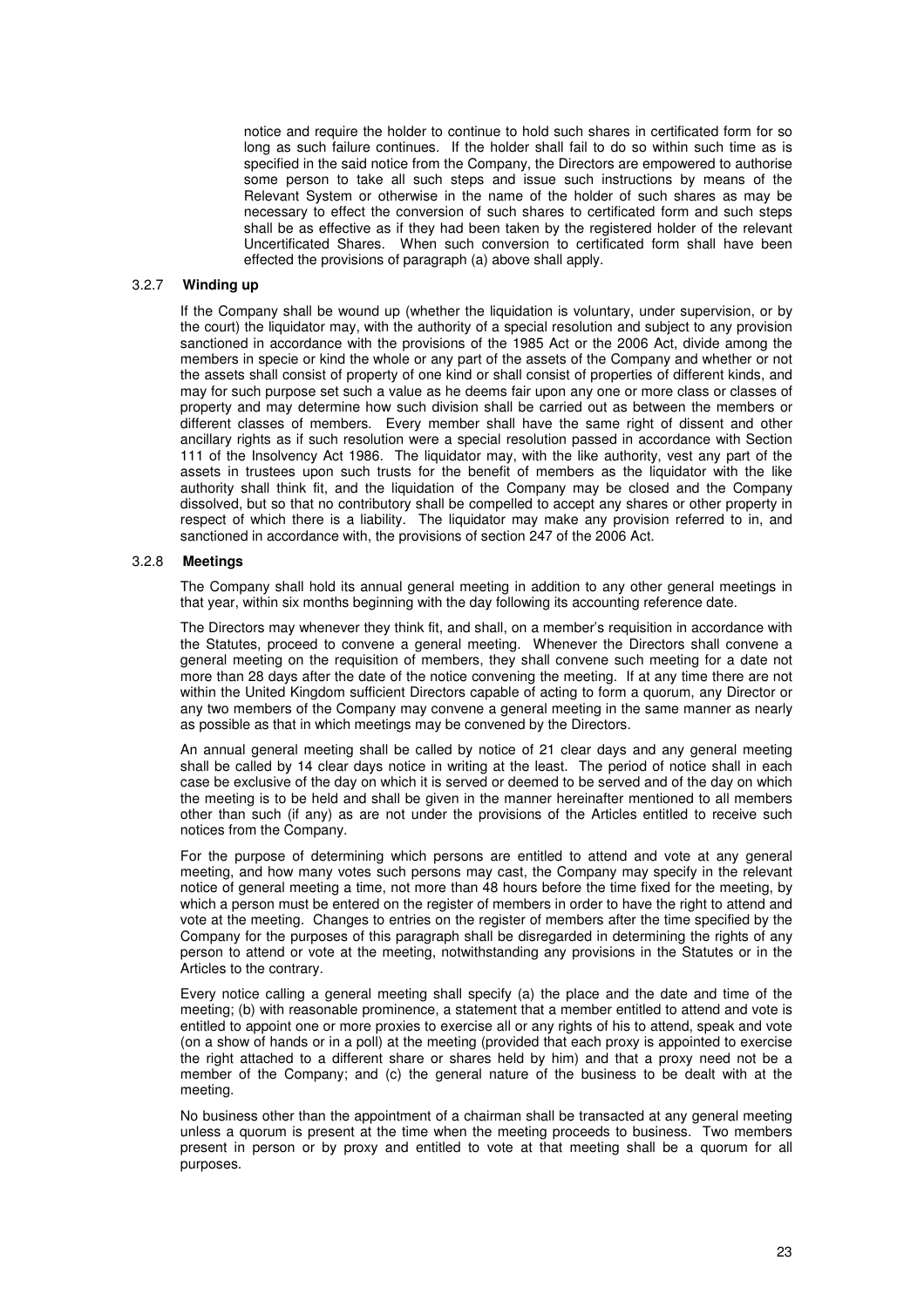notice and require the holder to continue to hold such shares in certificated form for so long as such failure continues. If the holder shall fail to do so within such time as is specified in the said notice from the Company, the Directors are empowered to authorise some person to take all such steps and issue such instructions by means of the Relevant System or otherwise in the name of the holder of such shares as may be necessary to effect the conversion of such shares to certificated form and such steps shall be as effective as if they had been taken by the registered holder of the relevant Uncertificated Shares. When such conversion to certificated form shall have been effected the provisions of paragraph (a) above shall apply.

## 3.2.7 **Winding up**

If the Company shall be wound up (whether the liquidation is voluntary, under supervision, or by the court) the liquidator may, with the authority of a special resolution and subject to any provision sanctioned in accordance with the provisions of the 1985 Act or the 2006 Act, divide among the members in specie or kind the whole or any part of the assets of the Company and whether or not the assets shall consist of property of one kind or shall consist of properties of different kinds, and may for such purpose set such a value as he deems fair upon any one or more class or classes of property and may determine how such division shall be carried out as between the members or different classes of members. Every member shall have the same right of dissent and other ancillary rights as if such resolution were a special resolution passed in accordance with Section 111 of the Insolvency Act 1986. The liquidator may, with the like authority, vest any part of the assets in trustees upon such trusts for the benefit of members as the liquidator with the like authority shall think fit, and the liquidation of the Company may be closed and the Company dissolved, but so that no contributory shall be compelled to accept any shares or other property in respect of which there is a liability. The liquidator may make any provision referred to in, and sanctioned in accordance with, the provisions of section 247 of the 2006 Act.

#### 3.2.8 **Meetings**

The Company shall hold its annual general meeting in addition to any other general meetings in that year, within six months beginning with the day following its accounting reference date.

The Directors may whenever they think fit, and shall, on a member's requisition in accordance with the Statutes, proceed to convene a general meeting. Whenever the Directors shall convene a general meeting on the requisition of members, they shall convene such meeting for a date not more than 28 days after the date of the notice convening the meeting. If at any time there are not within the United Kingdom sufficient Directors capable of acting to form a quorum, any Director or any two members of the Company may convene a general meeting in the same manner as nearly as possible as that in which meetings may be convened by the Directors.

An annual general meeting shall be called by notice of 21 clear days and any general meeting shall be called by 14 clear days notice in writing at the least. The period of notice shall in each case be exclusive of the day on which it is served or deemed to be served and of the day on which the meeting is to be held and shall be given in the manner hereinafter mentioned to all members other than such (if any) as are not under the provisions of the Articles entitled to receive such notices from the Company.

For the purpose of determining which persons are entitled to attend and vote at any general meeting, and how many votes such persons may cast, the Company may specify in the relevant notice of general meeting a time, not more than 48 hours before the time fixed for the meeting, by which a person must be entered on the register of members in order to have the right to attend and vote at the meeting. Changes to entries on the register of members after the time specified by the Company for the purposes of this paragraph shall be disregarded in determining the rights of any person to attend or vote at the meeting, notwithstanding any provisions in the Statutes or in the Articles to the contrary.

Every notice calling a general meeting shall specify (a) the place and the date and time of the meeting; (b) with reasonable prominence, a statement that a member entitled to attend and vote is entitled to appoint one or more proxies to exercise all or any rights of his to attend, speak and vote (on a show of hands or in a poll) at the meeting (provided that each proxy is appointed to exercise the right attached to a different share or shares held by him) and that a proxy need not be a member of the Company; and (c) the general nature of the business to be dealt with at the meeting.

No business other than the appointment of a chairman shall be transacted at any general meeting unless a quorum is present at the time when the meeting proceeds to business. Two members present in person or by proxy and entitled to vote at that meeting shall be a quorum for all purposes.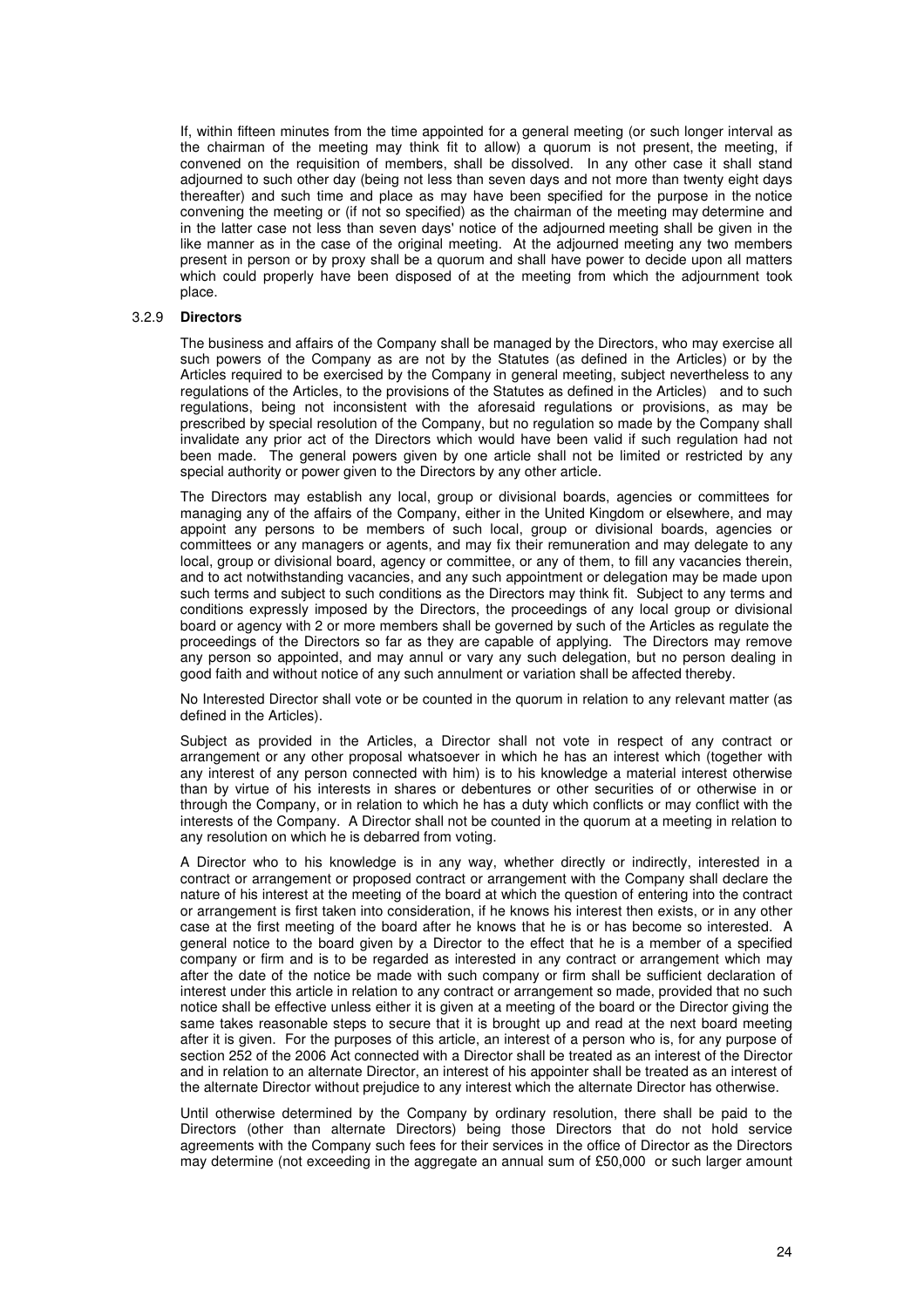If, within fifteen minutes from the time appointed for a general meeting (or such longer interval as the chairman of the meeting may think fit to allow) a quorum is not present, the meeting, if convened on the requisition of members, shall be dissolved. In any other case it shall stand adjourned to such other day (being not less than seven days and not more than twenty eight days thereafter) and such time and place as may have been specified for the purpose in the notice convening the meeting or (if not so specified) as the chairman of the meeting may determine and in the latter case not less than seven days' notice of the adjourned meeting shall be given in the like manner as in the case of the original meeting. At the adjourned meeting any two members present in person or by proxy shall be a quorum and shall have power to decide upon all matters which could properly have been disposed of at the meeting from which the adjournment took place.

#### 3.2.9 **Directors**

The business and affairs of the Company shall be managed by the Directors, who may exercise all such powers of the Company as are not by the Statutes (as defined in the Articles) or by the Articles required to be exercised by the Company in general meeting, subject nevertheless to any regulations of the Articles, to the provisions of the Statutes as defined in the Articles) and to such regulations, being not inconsistent with the aforesaid regulations or provisions, as may be prescribed by special resolution of the Company, but no regulation so made by the Company shall invalidate any prior act of the Directors which would have been valid if such regulation had not been made. The general powers given by one article shall not be limited or restricted by any special authority or power given to the Directors by any other article.

The Directors may establish any local, group or divisional boards, agencies or committees for managing any of the affairs of the Company, either in the United Kingdom or elsewhere, and may appoint any persons to be members of such local, group or divisional boards, agencies or committees or any managers or agents, and may fix their remuneration and may delegate to any local, group or divisional board, agency or committee, or any of them, to fill any vacancies therein, and to act notwithstanding vacancies, and any such appointment or delegation may be made upon such terms and subject to such conditions as the Directors may think fit. Subject to any terms and conditions expressly imposed by the Directors, the proceedings of any local group or divisional board or agency with 2 or more members shall be governed by such of the Articles as regulate the proceedings of the Directors so far as they are capable of applying. The Directors may remove any person so appointed, and may annul or vary any such delegation, but no person dealing in good faith and without notice of any such annulment or variation shall be affected thereby.

No Interested Director shall vote or be counted in the quorum in relation to any relevant matter (as defined in the Articles).

Subject as provided in the Articles, a Director shall not vote in respect of any contract or arrangement or any other proposal whatsoever in which he has an interest which (together with any interest of any person connected with him) is to his knowledge a material interest otherwise than by virtue of his interests in shares or debentures or other securities of or otherwise in or through the Company, or in relation to which he has a duty which conflicts or may conflict with the interests of the Company. A Director shall not be counted in the quorum at a meeting in relation to any resolution on which he is debarred from voting.

A Director who to his knowledge is in any way, whether directly or indirectly, interested in a contract or arrangement or proposed contract or arrangement with the Company shall declare the nature of his interest at the meeting of the board at which the question of entering into the contract or arrangement is first taken into consideration, if he knows his interest then exists, or in any other case at the first meeting of the board after he knows that he is or has become so interested. A general notice to the board given by a Director to the effect that he is a member of a specified company or firm and is to be regarded as interested in any contract or arrangement which may after the date of the notice be made with such company or firm shall be sufficient declaration of interest under this article in relation to any contract or arrangement so made, provided that no such notice shall be effective unless either it is given at a meeting of the board or the Director giving the same takes reasonable steps to secure that it is brought up and read at the next board meeting after it is given. For the purposes of this article, an interest of a person who is, for any purpose of section 252 of the 2006 Act connected with a Director shall be treated as an interest of the Director and in relation to an alternate Director, an interest of his appointer shall be treated as an interest of the alternate Director without prejudice to any interest which the alternate Director has otherwise.

Until otherwise determined by the Company by ordinary resolution, there shall be paid to the Directors (other than alternate Directors) being those Directors that do not hold service agreements with the Company such fees for their services in the office of Director as the Directors may determine (not exceeding in the aggregate an annual sum of £50,000 or such larger amount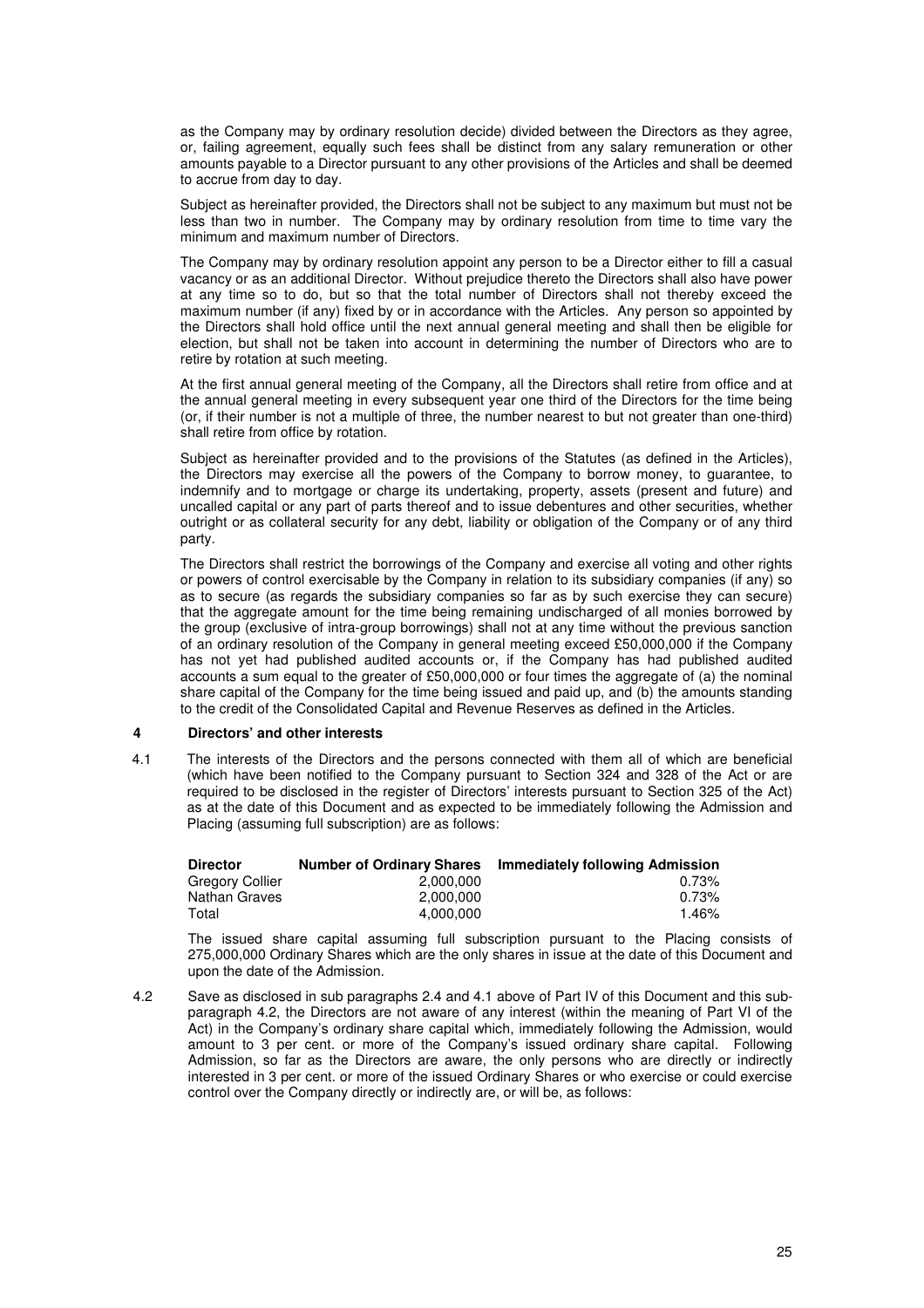as the Company may by ordinary resolution decide) divided between the Directors as they agree, or, failing agreement, equally such fees shall be distinct from any salary remuneration or other amounts payable to a Director pursuant to any other provisions of the Articles and shall be deemed to accrue from day to day.

Subject as hereinafter provided, the Directors shall not be subject to any maximum but must not be less than two in number. The Company may by ordinary resolution from time to time vary the minimum and maximum number of Directors.

The Company may by ordinary resolution appoint any person to be a Director either to fill a casual vacancy or as an additional Director. Without prejudice thereto the Directors shall also have power at any time so to do, but so that the total number of Directors shall not thereby exceed the maximum number (if any) fixed by or in accordance with the Articles. Any person so appointed by the Directors shall hold office until the next annual general meeting and shall then be eligible for election, but shall not be taken into account in determining the number of Directors who are to retire by rotation at such meeting.

At the first annual general meeting of the Company, all the Directors shall retire from office and at the annual general meeting in every subsequent year one third of the Directors for the time being (or, if their number is not a multiple of three, the number nearest to but not greater than one-third) shall retire from office by rotation.

Subject as hereinafter provided and to the provisions of the Statutes (as defined in the Articles), the Directors may exercise all the powers of the Company to borrow money, to guarantee, to indemnify and to mortgage or charge its undertaking, property, assets (present and future) and uncalled capital or any part of parts thereof and to issue debentures and other securities. whether outright or as collateral security for any debt, liability or obligation of the Company or of any third party.

The Directors shall restrict the borrowings of the Company and exercise all voting and other rights or powers of control exercisable by the Company in relation to its subsidiary companies (if any) so as to secure (as regards the subsidiary companies so far as by such exercise they can secure) that the aggregate amount for the time being remaining undischarged of all monies borrowed by the group (exclusive of intra-group borrowings) shall not at any time without the previous sanction of an ordinary resolution of the Company in general meeting exceed £50,000,000 if the Company has not yet had published audited accounts or, if the Company has had published audited accounts a sum equal to the greater of £50,000,000 or four times the aggregate of (a) the nominal share capital of the Company for the time being issued and paid up, and (b) the amounts standing to the credit of the Consolidated Capital and Revenue Reserves as defined in the Articles.

## **4 Directors' and other interests**

4.1 The interests of the Directors and the persons connected with them all of which are beneficial (which have been notified to the Company pursuant to Section 324 and 328 of the Act or are required to be disclosed in the register of Directors' interests pursuant to Section 325 of the Act) as at the date of this Document and as expected to be immediately following the Admission and Placing (assuming full subscription) are as follows:

| <b>Director</b> | <b>Number of Ordinary Shares</b> | Immediately following Admission |
|-----------------|----------------------------------|---------------------------------|
| Gregory Collier | 2.000.000                        | $0.73\%$                        |
| Nathan Graves   | 2.000.000                        | $0.73\%$                        |
| Total           | 4.000.000                        | 1.46%                           |

The issued share capital assuming full subscription pursuant to the Placing consists of 275,000,000 Ordinary Shares which are the only shares in issue at the date of this Document and upon the date of the Admission.

4.2 Save as disclosed in sub paragraphs 2.4 and 4.1 above of Part IV of this Document and this subparagraph 4.2, the Directors are not aware of any interest (within the meaning of Part VI of the Act) in the Company's ordinary share capital which, immediately following the Admission, would amount to 3 per cent. or more of the Company's issued ordinary share capital. Following Admission, so far as the Directors are aware, the only persons who are directly or indirectly interested in 3 per cent. or more of the issued Ordinary Shares or who exercise or could exercise control over the Company directly or indirectly are, or will be, as follows: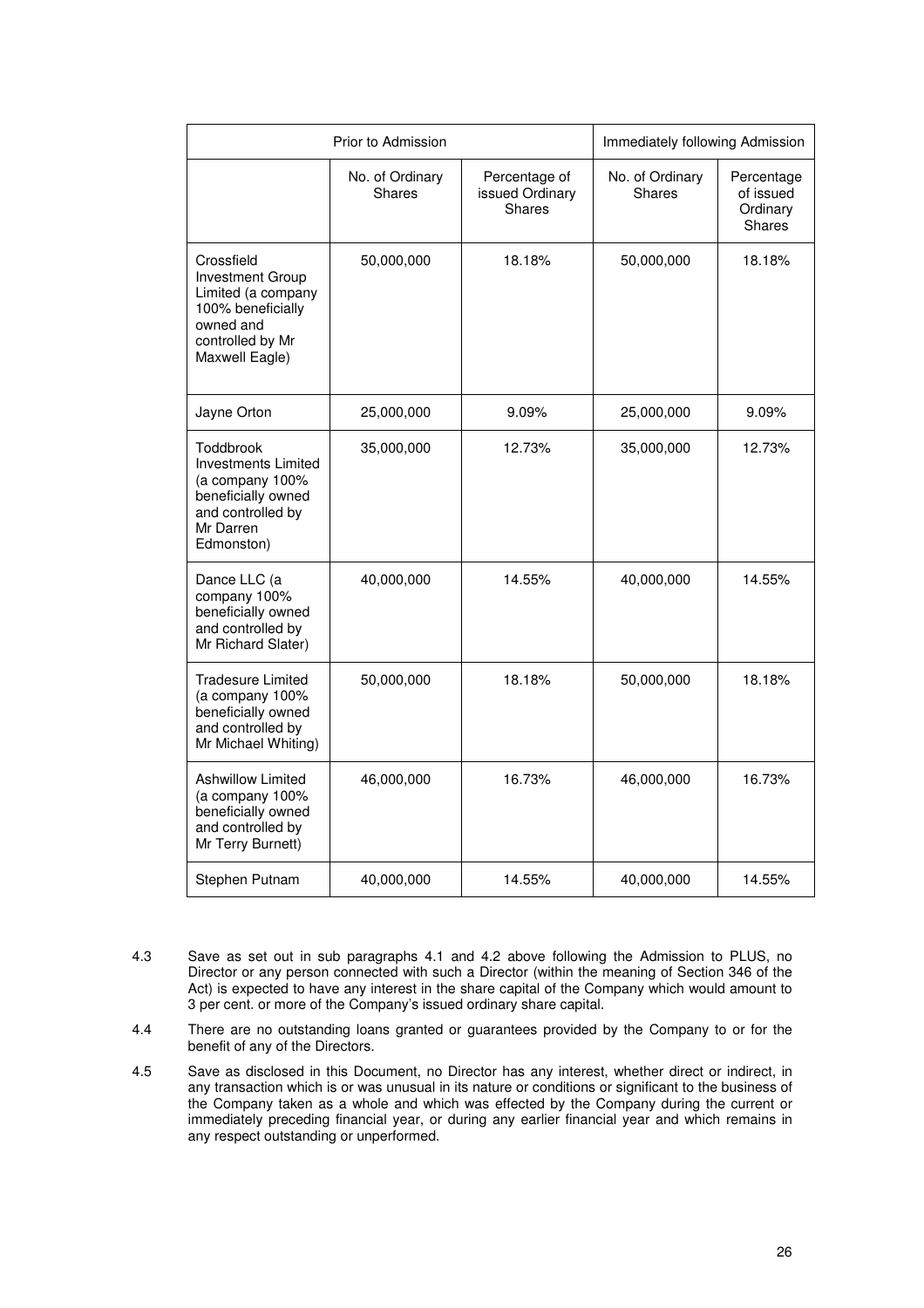| Prior to Admission                                                                                                                  |                           | Immediately following Admission            |                           |                                                      |
|-------------------------------------------------------------------------------------------------------------------------------------|---------------------------|--------------------------------------------|---------------------------|------------------------------------------------------|
|                                                                                                                                     | No. of Ordinary<br>Shares | Percentage of<br>issued Ordinary<br>Shares | No. of Ordinary<br>Shares | Percentage<br>of issued<br>Ordinary<br><b>Shares</b> |
| Crossfield<br><b>Investment Group</b><br>Limited (a company<br>100% beneficially<br>owned and<br>controlled by Mr<br>Maxwell Eagle) | 50,000,000                | 18.18%                                     | 50,000,000                | 18.18%                                               |
| Jayne Orton                                                                                                                         | 25,000,000                | 9.09%                                      | 25,000,000                | 9.09%                                                |
| Toddbrook<br><b>Investments Limited</b><br>(a company 100%<br>beneficially owned<br>and controlled by<br>Mr Darren<br>Edmonston)    | 35,000,000                | 12.73%                                     | 35,000,000                | 12.73%                                               |
| Dance LLC (a<br>company 100%<br>beneficially owned<br>and controlled by<br>Mr Richard Slater)                                       | 40,000,000                | 14.55%                                     | 40,000,000                | 14.55%                                               |
| <b>Tradesure Limited</b><br>(a company 100%<br>beneficially owned<br>and controlled by<br>Mr Michael Whiting)                       | 50,000,000                | 18.18%                                     | 50,000,000                | 18.18%                                               |
| <b>Ashwillow Limited</b><br>(a company 100%<br>beneficially owned<br>and controlled by<br>Mr Terry Burnett)                         | 46,000,000                | 16.73%                                     | 46,000,000                | 16.73%                                               |
| Stephen Putnam                                                                                                                      | 40,000,000                | 14.55%                                     | 40,000,000                | 14.55%                                               |

- $4.3$ Save as set out in sub paragraphs 4.1 and 4.2 above following the Admission to PLUS, no Director or any person connected with such a Director (within the meaning of Section 346 of the Act) is expected to have any interest in the share capital of the Company which would amount to 3 per cent. or more of the Company's issued ordinary share capital.
- 4.4 There are no outstanding loans granted or guarantees provided by the Company to or for the benefit of any of the Directors.
- 4.5 Save as disclosed in this Document, no Director has any interest, whether direct or indirect, in any transaction which is or was unusual in its nature or conditions or significant to the business of the Company taken as a whole and which was effected by the Company during the current or immediately preceding financial year, or during any earlier financial year and which remains in any respect outstanding or unperformed.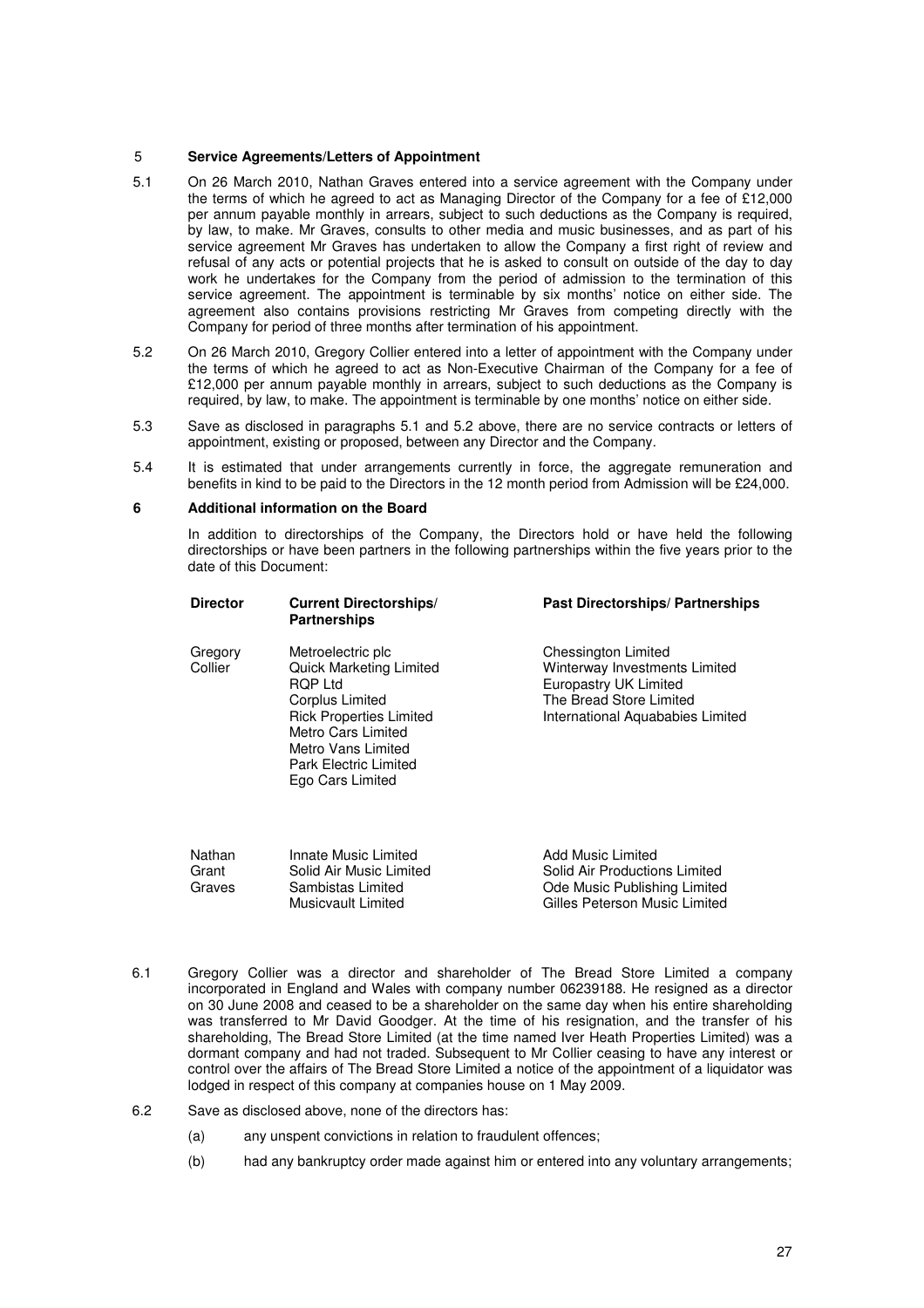## 5 **Service Agreements/Letters of Appointment**

- 5.1 On 26 March 2010, Nathan Graves entered into a service agreement with the Company under the terms of which he agreed to act as Managing Director of the Company for a fee of £12,000 per annum payable monthly in arrears, subject to such deductions as the Company is required, by law, to make. Mr Graves, consults to other media and music businesses, and as part of his service agreement Mr Graves has undertaken to allow the Company a first right of review and refusal of any acts or potential projects that he is asked to consult on outside of the day to day work he undertakes for the Company from the period of admission to the termination of this service agreement. The appointment is terminable by six months' notice on either side. The agreement also contains provisions restricting Mr Graves from competing directly with the Company for period of three months after termination of his appointment.
- 5.2 On 26 March 2010, Gregory Collier entered into a letter of appointment with the Company under the terms of which he agreed to act as Non-Executive Chairman of the Company for a fee of £12,000 per annum payable monthly in arrears, subject to such deductions as the Company is required, by law, to make. The appointment is terminable by one months' notice on either side.
- 5.3 Save as disclosed in paragraphs 5.1 and 5.2 above, there are no service contracts or letters of appointment, existing or proposed, between any Director and the Company.
- 5.4 It is estimated that under arrangements currently in force, the aggregate remuneration and benefits in kind to be paid to the Directors in the 12 month period from Admission will be £24,000.

## **6 Additional information on the Board**

In addition to directorships of the Company, the Directors hold or have held the following directorships or have been partners in the following partnerships within the five years prior to the date of this Document:

| <b>Director</b>    | <b>Current Directorships/</b><br><b>Partnerships</b>                                                                                                                                                                       | Past Directorships/ Partnerships                                                                                                             |
|--------------------|----------------------------------------------------------------------------------------------------------------------------------------------------------------------------------------------------------------------------|----------------------------------------------------------------------------------------------------------------------------------------------|
| Gregory<br>Collier | Metroelectric plc<br><b>Quick Marketing Limited</b><br><b>ROP Ltd</b><br>Corplus Limited<br><b>Rick Properties Limited</b><br>Metro Cars Limited<br>Metro Vans Limited<br><b>Park Electric Limited</b><br>Ego Cars Limited | Chessington Limited<br>Winterway Investments Limited<br>Europastry UK Limited<br>The Bread Store Limited<br>International Aquababies Limited |
|                    |                                                                                                                                                                                                                            |                                                                                                                                              |

| Nathan | Innate Music Limited    | Add Music Limited             |
|--------|-------------------------|-------------------------------|
| Grant  | Solid Air Music Limited | Solid Air Productions Limited |
| Graves | Sambistas Limited       | Ode Music Publishing Limited  |
|        | Musicvault Limited      | Gilles Peterson Music Limited |

- 6.1 Gregory Collier was a director and shareholder of The Bread Store Limited a company incorporated in England and Wales with company number 06239188. He resigned as a director on 30 June 2008 and ceased to be a shareholder on the same day when his entire shareholding was transferred to Mr David Goodger. At the time of his resignation, and the transfer of his shareholding, The Bread Store Limited (at the time named Iver Heath Properties Limited) was a dormant company and had not traded. Subsequent to Mr Collier ceasing to have any interest or control over the affairs of The Bread Store Limited a notice of the appointment of a liquidator was lodged in respect of this company at companies house on 1 May 2009.
- 6.2 Save as disclosed above, none of the directors has:
	- (a) any unspent convictions in relation to fraudulent offences;
	- (b) had any bankruptcy order made against him or entered into any voluntary arrangements;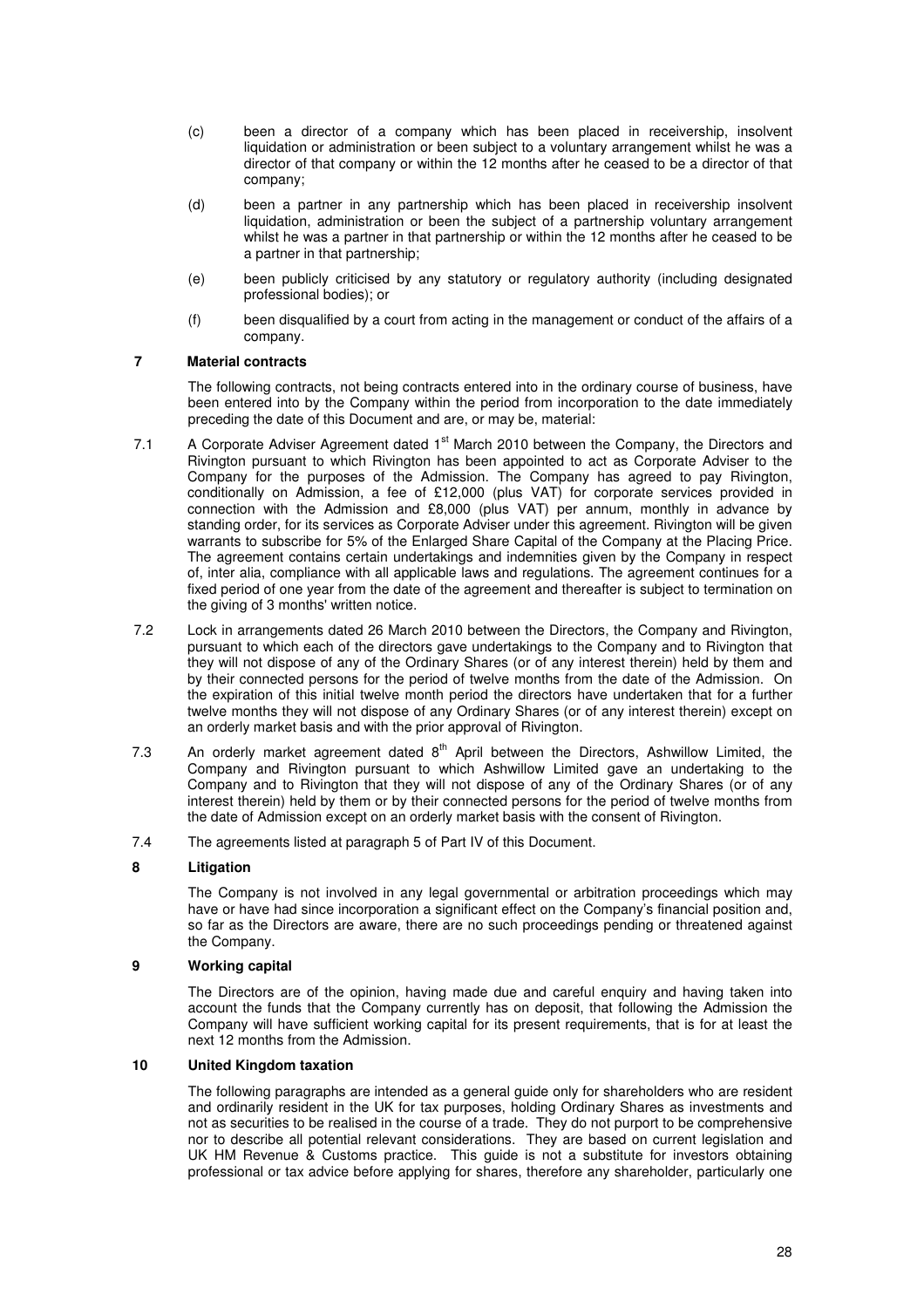- (c) been a director of a company which has been placed in receivership, insolvent liquidation or administration or been subject to a voluntary arrangement whilst he was a director of that company or within the 12 months after he ceased to be a director of that company;
- (d) been a partner in any partnership which has been placed in receivership insolvent liquidation, administration or been the subject of a partnership voluntary arrangement whilst he was a partner in that partnership or within the 12 months after he ceased to be a partner in that partnership;
- (e) been publicly criticised by any statutory or regulatory authority (including designated professional bodies); or
- (f) been disqualified by a court from acting in the management or conduct of the affairs of a company.

## **7 Material contracts**

The following contracts, not being contracts entered into in the ordinary course of business, have been entered into by the Company within the period from incorporation to the date immediately preceding the date of this Document and are, or may be, material:

- 7.1 A Corporate Adviser Agreement dated 1<sup>st</sup> March 2010 between the Company, the Directors and Rivington pursuant to which Rivington has been appointed to act as Corporate Adviser to the Company for the purposes of the Admission. The Company has agreed to pay Rivington, conditionally on Admission, a fee of £12,000 (plus VAT) for corporate services provided in connection with the Admission and £8,000 (plus VAT) per annum, monthly in advance by standing order, for its services as Corporate Adviser under this agreement. Rivington will be given warrants to subscribe for 5% of the Enlarged Share Capital of the Company at the Placing Price. The agreement contains certain undertakings and indemnities given by the Company in respect of, inter alia, compliance with all applicable laws and regulations. The agreement continues for a fixed period of one year from the date of the agreement and thereafter is subject to termination on the giving of 3 months' written notice.
- 7.2 Lock in arrangements dated 26 March 2010 between the Directors, the Company and Rivington, pursuant to which each of the directors gave undertakings to the Company and to Rivington that they will not dispose of any of the Ordinary Shares (or of any interest therein) held by them and by their connected persons for the period of twelve months from the date of the Admission. On the expiration of this initial twelve month period the directors have undertaken that for a further twelve months they will not dispose of any Ordinary Shares (or of any interest therein) except on an orderly market basis and with the prior approval of Rivington.
- 7.3 An orderly market agreement dated  $8<sup>th</sup>$  April between the Directors, Ashwillow Limited, the Company and Rivington pursuant to which Ashwillow Limited gave an undertaking to the Company and to Rivington that they will not dispose of any of the Ordinary Shares (or of any interest therein) held by them or by their connected persons for the period of twelve months from the date of Admission except on an orderly market basis with the consent of Rivington.
- 7.4 The agreements listed at paragraph 5 of Part IV of this Document.

## **8 Litigation**

The Company is not involved in any legal governmental or arbitration proceedings which may have or have had since incorporation a significant effect on the Company's financial position and, so far as the Directors are aware, there are no such proceedings pending or threatened against the Company.

## **9 Working capital**

The Directors are of the opinion, having made due and careful enquiry and having taken into account the funds that the Company currently has on deposit, that following the Admission the Company will have sufficient working capital for its present requirements, that is for at least the next 12 months from the Admission.

## **10 United Kingdom taxation**

The following paragraphs are intended as a general guide only for shareholders who are resident and ordinarily resident in the UK for tax purposes, holding Ordinary Shares as investments and not as securities to be realised in the course of a trade. They do not purport to be comprehensive nor to describe all potential relevant considerations. They are based on current legislation and UK HM Revenue & Customs practice. This guide is not a substitute for investors obtaining professional or tax advice before applying for shares, therefore any shareholder, particularly one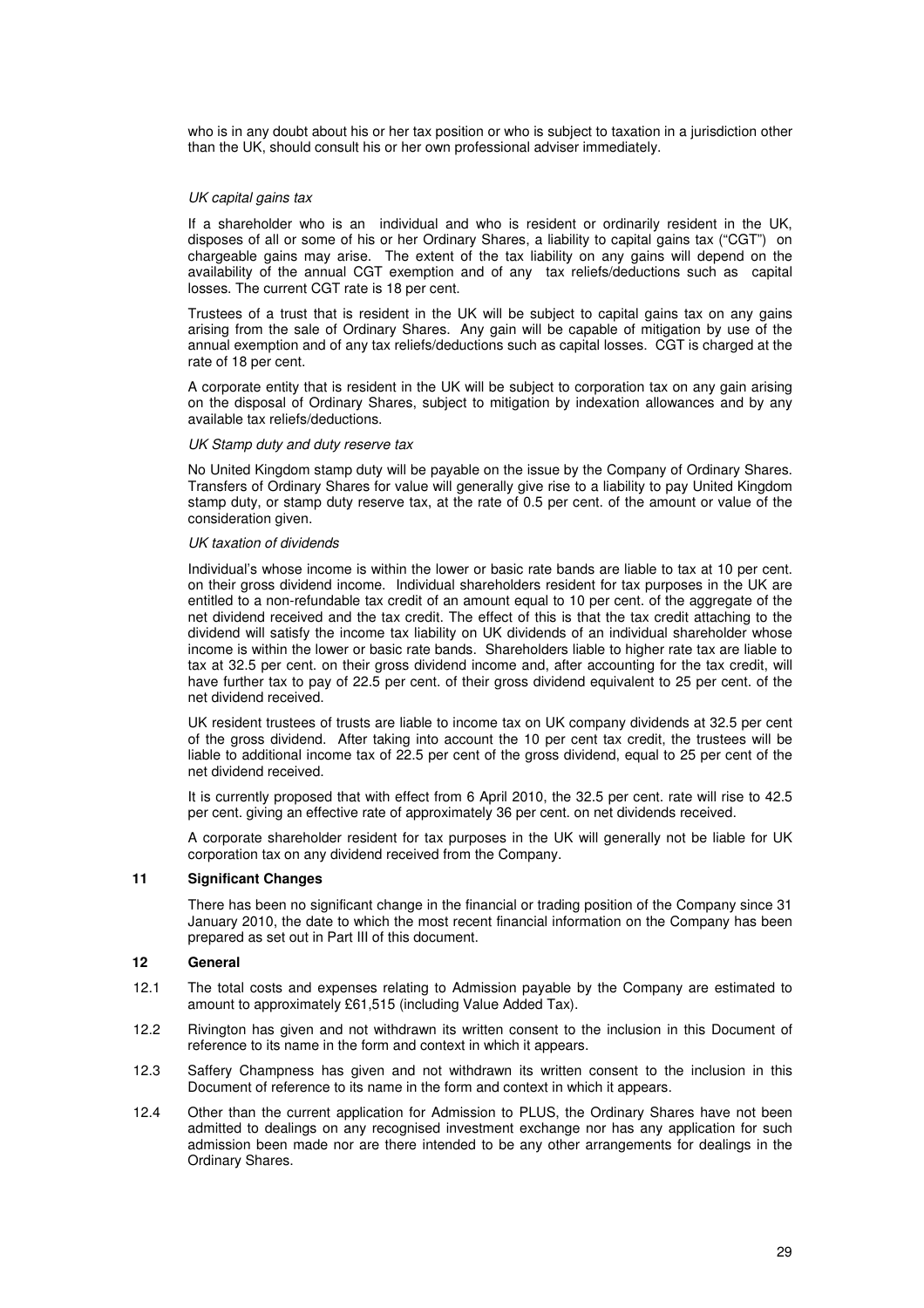who is in any doubt about his or her tax position or who is subject to taxation in a jurisdiction other than the UK, should consult his or her own professional adviser immediately.

## UK capital gains tax

If a shareholder who is an individual and who is resident or ordinarily resident in the UK, disposes of all or some of his or her Ordinary Shares, a liability to capital gains tax ("CGT") on chargeable gains may arise. The extent of the tax liability on any gains will depend on the availability of the annual CGT exemption and of any tax reliefs/deductions such as capital losses. The current CGT rate is 18 per cent.

Trustees of a trust that is resident in the UK will be subject to capital gains tax on any gains arising from the sale of Ordinary Shares. Any gain will be capable of mitigation by use of the annual exemption and of any tax reliefs/deductions such as capital losses. CGT is charged at the rate of 18 per cent.

A corporate entity that is resident in the UK will be subject to corporation tax on any gain arising on the disposal of Ordinary Shares, subject to mitigation by indexation allowances and by any available tax reliefs/deductions.

#### UK Stamp duty and duty reserve tax

No United Kingdom stamp duty will be payable on the issue by the Company of Ordinary Shares. Transfers of Ordinary Shares for value will generally give rise to a liability to pay United Kingdom stamp duty, or stamp duty reserve tax, at the rate of 0.5 per cent. of the amount or value of the consideration given.

## UK taxation of dividends

Individual's whose income is within the lower or basic rate bands are liable to tax at 10 per cent. on their gross dividend income. Individual shareholders resident for tax purposes in the UK are entitled to a non-refundable tax credit of an amount equal to 10 per cent. of the aggregate of the net dividend received and the tax credit. The effect of this is that the tax credit attaching to the dividend will satisfy the income tax liability on UK dividends of an individual shareholder whose income is within the lower or basic rate bands. Shareholders liable to higher rate tax are liable to tax at 32.5 per cent. on their gross dividend income and, after accounting for the tax credit, will have further tax to pay of 22.5 per cent. of their gross dividend equivalent to 25 per cent. of the net dividend received.

UK resident trustees of trusts are liable to income tax on UK company dividends at 32.5 per cent of the gross dividend. After taking into account the 10 per cent tax credit, the trustees will be liable to additional income tax of 22.5 per cent of the gross dividend, equal to 25 per cent of the net dividend received.

It is currently proposed that with effect from 6 April 2010, the 32.5 per cent. rate will rise to 42.5 per cent. giving an effective rate of approximately 36 per cent. on net dividends received.

A corporate shareholder resident for tax purposes in the UK will generally not be liable for UK corporation tax on any dividend received from the Company.

## **11 Significant Changes**

There has been no significant change in the financial or trading position of the Company since 31 January 2010, the date to which the most recent financial information on the Company has been prepared as set out in Part III of this document.

## **12 General**

- 12.1 The total costs and expenses relating to Admission payable by the Company are estimated to amount to approximately £61,515 (including Value Added Tax).
- 12.2 Rivington has given and not withdrawn its written consent to the inclusion in this Document of reference to its name in the form and context in which it appears.
- 12.3 Saffery Champness has given and not withdrawn its written consent to the inclusion in this Document of reference to its name in the form and context in which it appears.
- 12.4 Other than the current application for Admission to PLUS, the Ordinary Shares have not been admitted to dealings on any recognised investment exchange nor has any application for such admission been made nor are there intended to be any other arrangements for dealings in the Ordinary Shares.